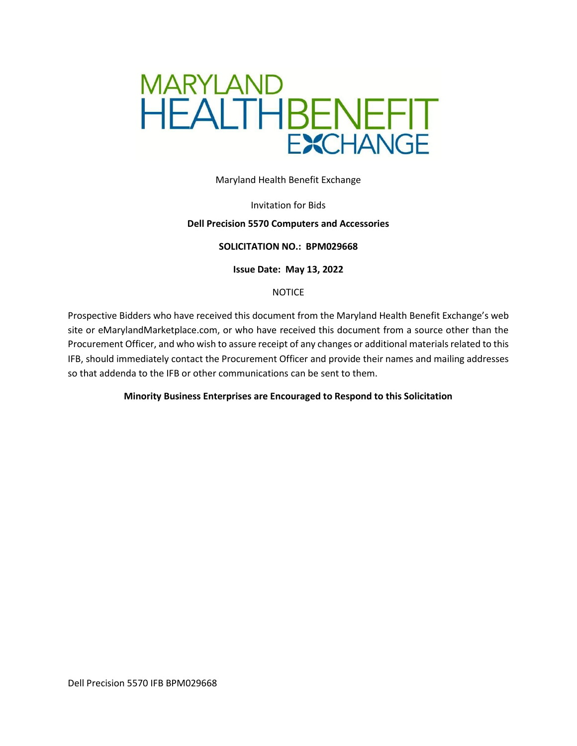

Maryland Health Benefit Exchange

# Invitation for Bids **Dell Precision 5570 Computers and Accessories**

#### **SOLICITATION NO.: BPM029668**

**Issue Date: May 13, 2022**

#### NOTICE

Prospective Bidders who have received this document from the Maryland Health Benefit Exchange's web site or eMarylandMarketplace.com, or who have received this document from a source other than the Procurement Officer, and who wish to assure receipt of any changes or additional materials related to this IFB, should immediately contact the Procurement Officer and provide their names and mailing addresses so that addenda to the IFB or other communications can be sent to them.

#### **Minority Business Enterprises are Encouraged to Respond to this Solicitation**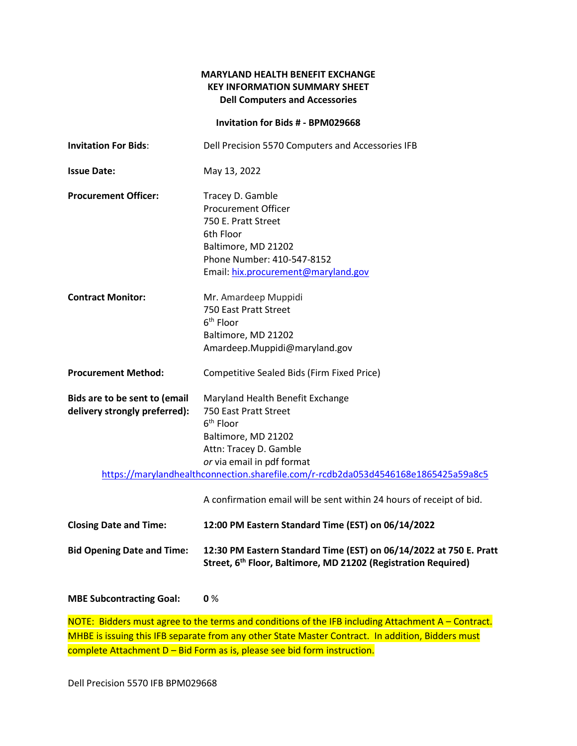## **MARYLAND HEALTH BENEFIT EXCHANGE KEY INFORMATION SUMMARY SHEET Dell Computers and Accessories**

#### **Invitation for Bids # - BPM029668**

| <b>Invitation For Bids:</b>       | Dell Precision 5570 Computers and Accessories IFB                                                                                                |
|-----------------------------------|--------------------------------------------------------------------------------------------------------------------------------------------------|
| <b>Issue Date:</b>                | May 13, 2022                                                                                                                                     |
| <b>Procurement Officer:</b>       | Tracey D. Gamble                                                                                                                                 |
|                                   | <b>Procurement Officer</b>                                                                                                                       |
|                                   | 750 E. Pratt Street                                                                                                                              |
|                                   | 6th Floor                                                                                                                                        |
|                                   | Baltimore, MD 21202                                                                                                                              |
|                                   | Phone Number: 410-547-8152                                                                                                                       |
|                                   | Email: hix.procurement@maryland.gov                                                                                                              |
| <b>Contract Monitor:</b>          | Mr. Amardeep Muppidi                                                                                                                             |
|                                   | 750 East Pratt Street                                                                                                                            |
|                                   | 6 <sup>th</sup> Floor                                                                                                                            |
|                                   | Baltimore, MD 21202                                                                                                                              |
|                                   | Amardeep.Muppidi@maryland.gov                                                                                                                    |
| <b>Procurement Method:</b>        | Competitive Sealed Bids (Firm Fixed Price)                                                                                                       |
| Bids are to be sent to (email     | Maryland Health Benefit Exchange                                                                                                                 |
| delivery strongly preferred):     | 750 East Pratt Street                                                                                                                            |
|                                   | 6 <sup>th</sup> Floor                                                                                                                            |
|                                   | Baltimore, MD 21202                                                                                                                              |
|                                   | Attn: Tracey D. Gamble                                                                                                                           |
|                                   | or via email in pdf format                                                                                                                       |
|                                   | https://marylandhealthconnection.sharefile.com/r-rcdb2da053d4546168e1865425a59a8c5                                                               |
|                                   | A confirmation email will be sent within 24 hours of receipt of bid.                                                                             |
| <b>Closing Date and Time:</b>     | 12:00 PM Eastern Standard Time (EST) on 06/14/2022                                                                                               |
| <b>Bid Opening Date and Time:</b> | 12:30 PM Eastern Standard Time (EST) on 06/14/2022 at 750 E. Pratt<br>Street, 6 <sup>th</sup> Floor, Baltimore, MD 21202 (Registration Required) |
| <b>MBE Subcontracting Goal:</b>   | 0%                                                                                                                                               |

NOTE: Bidders must agree to the terms and conditions of the IFB including Attachment A – Contract. MHBE is issuing this IFB separate from any other State Master Contract. In addition, Bidders must complete Attachment D – Bid Form as is, please see bid form instruction.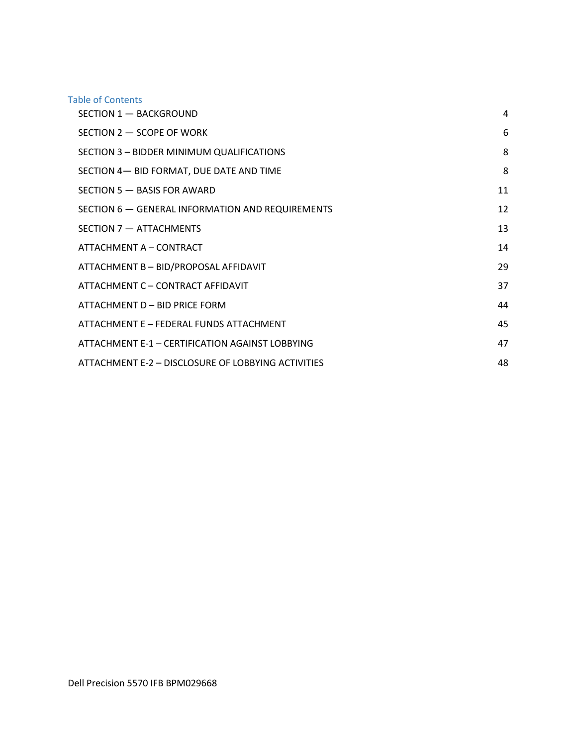| <b>Table of Contents</b> |  |  |  |
|--------------------------|--|--|--|
|                          |  |  |  |

| SECTION 1 - BACKGROUND                             | 4  |
|----------------------------------------------------|----|
| SECTION 2 - SCOPE OF WORK                          | 6  |
| SECTION 3 - BIDDER MINIMUM QUALIFICATIONS          | 8  |
| SECTION 4- BID FORMAT, DUE DATE AND TIME           | 8  |
| SECTION 5 - BASIS FOR AWARD                        | 11 |
| SECTION 6 - GENERAL INFORMATION AND REQUIREMENTS   | 12 |
| SECTION 7 - ATTACHMENTS                            | 13 |
| ATTACHMENT A - CONTRACT                            | 14 |
| ATTACHMENT B - BID/PROPOSAL AFFIDAVIT              | 29 |
| ATTACHMENT C - CONTRACT AFFIDAVIT                  | 37 |
| ATTACHMENT D - BID PRICE FORM                      | 44 |
| ATTACHMENT E – FEDERAL FUNDS ATTACHMENT            | 45 |
| ATTACHMENT E-1 - CERTIFICATION AGAINST LOBBYING    | 47 |
| ATTACHMENT E-2 - DISCLOSURE OF LOBBYING ACTIVITIES | 48 |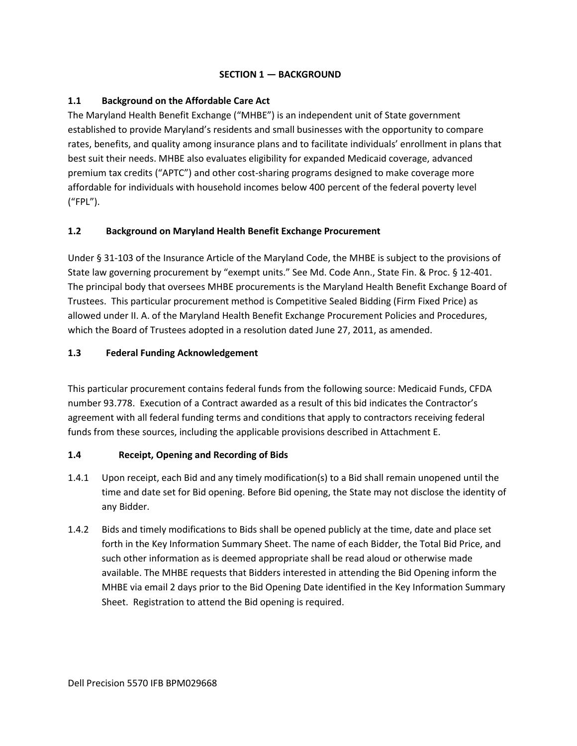## **SECTION 1 — BACKGROUND**

## <span id="page-3-0"></span>**1.1 Background on the Affordable Care Act**

The Maryland Health Benefit Exchange ("MHBE") is an independent unit of State government established to provide Maryland's residents and small businesses with the opportunity to compare rates, benefits, and quality among insurance plans and to facilitate individuals' enrollment in plans that best suit their needs. MHBE also evaluates eligibility for expanded Medicaid coverage, advanced premium tax credits ("APTC") and other cost-sharing programs designed to make coverage more affordable for individuals with household incomes below 400 percent of the federal poverty level ("FPL").

## **1.2 Background on Maryland Health Benefit Exchange Procurement**

Under § 31-103 of the Insurance Article of the Maryland Code, the MHBE is subject to the provisions of State law governing procurement by "exempt units." See Md. Code Ann., State Fin. & Proc. § 12-401. The principal body that oversees MHBE procurements is the Maryland Health Benefit Exchange Board of Trustees. This particular procurement method is Competitive Sealed Bidding (Firm Fixed Price) as allowed under II. A. of the Maryland Health Benefit Exchange Procurement Policies and Procedures, which the Board of Trustees adopted in a resolution dated June 27, 2011, as amended.

## **1.3 Federal Funding Acknowledgement**

This particular procurement contains federal funds from the following source: Medicaid Funds, CFDA number 93.778. Execution of a Contract awarded as a result of this bid indicates the Contractor's agreement with all federal funding terms and conditions that apply to contractors receiving federal funds from these sources, including the applicable provisions described in Attachment E.

## **1.4 Receipt, Opening and Recording of Bids**

- 1.4.1 Upon receipt, each Bid and any timely modification(s) to a Bid shall remain unopened until the time and date set for Bid opening. Before Bid opening, the State may not disclose the identity of any Bidder.
- 1.4.2 Bids and timely modifications to Bids shall be opened publicly at the time, date and place set forth in the Key Information Summary Sheet. The name of each Bidder, the Total Bid Price, and such other information as is deemed appropriate shall be read aloud or otherwise made available. The MHBE requests that Bidders interested in attending the Bid Opening inform the MHBE via email 2 days prior to the Bid Opening Date identified in the Key Information Summary Sheet. Registration to attend the Bid opening is required.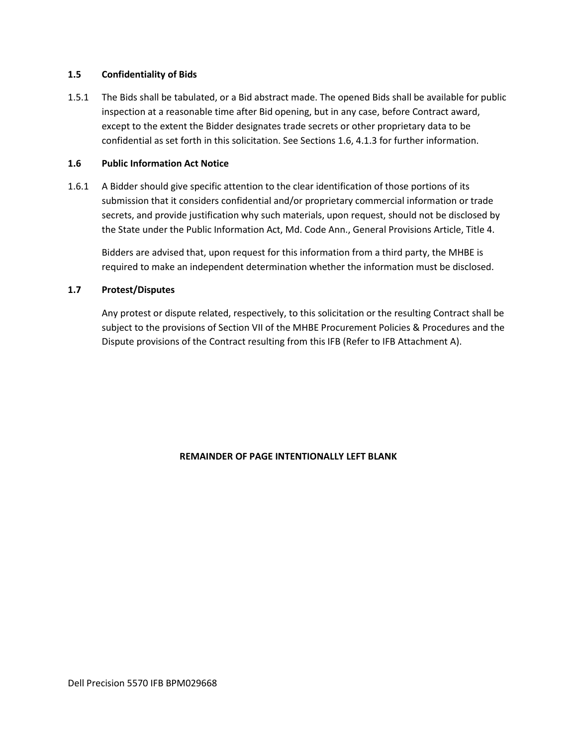#### **1.5 Confidentiality of Bids**

1.5.1 The Bids shall be tabulated, or a Bid abstract made. The opened Bids shall be available for public inspection at a reasonable time after Bid opening, but in any case, before Contract award, except to the extent the Bidder designates trade secrets or other proprietary data to be confidential as set forth in this solicitation. See Sections 1.6, 4.1.3 for further information.

#### **1.6 Public Information Act Notice**

1.6.1 A Bidder should give specific attention to the clear identification of those portions of its submission that it considers confidential and/or proprietary commercial information or trade secrets, and provide justification why such materials, upon request, should not be disclosed by the State under the Public Information Act, Md. Code Ann., General Provisions Article, Title 4.

Bidders are advised that, upon request for this information from a third party, the MHBE is required to make an independent determination whether the information must be disclosed.

#### **1.7 Protest/Disputes**

Any protest or dispute related, respectively, to this solicitation or the resulting Contract shall be subject to the provisions of Section VII of the MHBE Procurement Policies & Procedures and the Dispute provisions of the Contract resulting from this IFB (Refer to IFB Attachment A).

#### **REMAINDER OF PAGE INTENTIONALLY LEFT BLANK**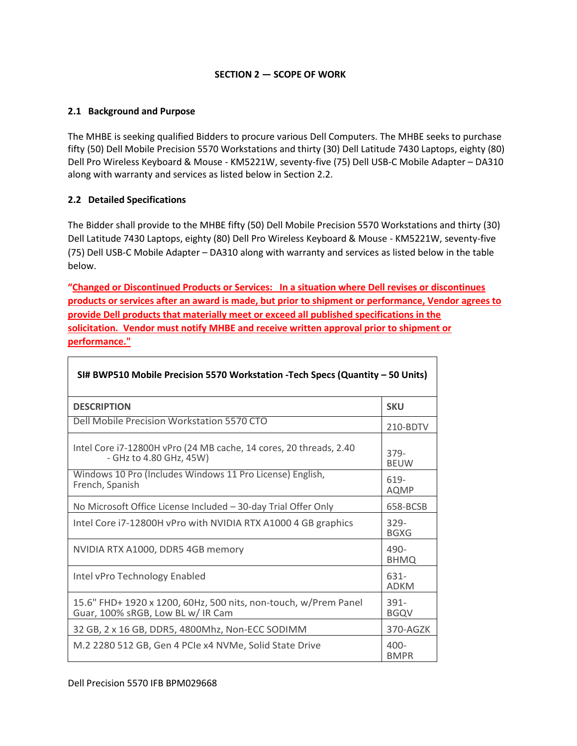### **SECTION 2 — SCOPE OF WORK**

## <span id="page-5-0"></span>**2.1 Background and Purpose**

The MHBE is seeking qualified Bidders to procure various Dell Computers. The MHBE seeks to purchase fifty (50) Dell Mobile Precision 5570 Workstations and thirty (30) Dell Latitude 7430 Laptops, eighty (80) Dell Pro Wireless Keyboard & Mouse - KM5221W, seventy-five (75) Dell USB-C Mobile Adapter – DA310 along with warranty and services as listed below in Section 2.2.

## **2.2 Detailed Specifications**

The Bidder shall provide to the MHBE fifty (50) Dell Mobile Precision 5570 Workstations and thirty (30) Dell Latitude 7430 Laptops, eighty (80) Dell Pro Wireless Keyboard & Mouse - KM5221W, seventy-five (75) Dell USB-C Mobile Adapter – DA310 along with warranty and services as listed below in the table below.

**"Changed or Discontinued Products or Services: In a situation where Dell revises or discontinues products or services after an award is made, but prior to shipment or performance, Vendor agrees to provide Dell products that materially meet or exceed all published specifications in the solicitation. Vendor must notify MHBE and receive written approval prior to shipment or performance."**

٦

| SI# BWP510 Mobile Precision 5570 Workstation -Tech Specs (Quantity - 50 Units)                       |                        |
|------------------------------------------------------------------------------------------------------|------------------------|
| <b>DESCRIPTION</b>                                                                                   | <b>SKU</b>             |
| Dell Mobile Precision Workstation 5570 CTO                                                           | 210-BDTV               |
| Intel Core i7-12800H vPro (24 MB cache, 14 cores, 20 threads, 2.40<br>- GHz to 4.80 GHz, 45W)        | 379-<br><b>BEUW</b>    |
| Windows 10 Pro (Includes Windows 11 Pro License) English,<br>French, Spanish                         | 619-<br><b>AQMP</b>    |
| No Microsoft Office License Included $-$ 30-day Trial Offer Only                                     | 658-BCSB               |
| Intel Core i7-12800H vPro with NVIDIA RTX A1000 4 GB graphics                                        | $329 -$<br><b>BGXG</b> |
| NVIDIA RTX A1000, DDR5 4GB memory                                                                    | 490-<br><b>BHMQ</b>    |
| Intel vPro Technology Enabled                                                                        | $631 -$<br><b>ADKM</b> |
| 15.6" FHD+ 1920 x 1200, 60Hz, 500 nits, non-touch, w/Prem Panel<br>Guar, 100% sRGB, Low BL w/ IR Cam | $391 -$<br><b>BGQV</b> |
| 32 GB, 2 x 16 GB, DDR5, 4800Mhz, Non-ECC SODIMM                                                      | 370-AGZK               |
| M.2 2280 512 GB, Gen 4 PCIe x4 NVMe, Solid State Drive                                               | $400 -$<br><b>BMPR</b> |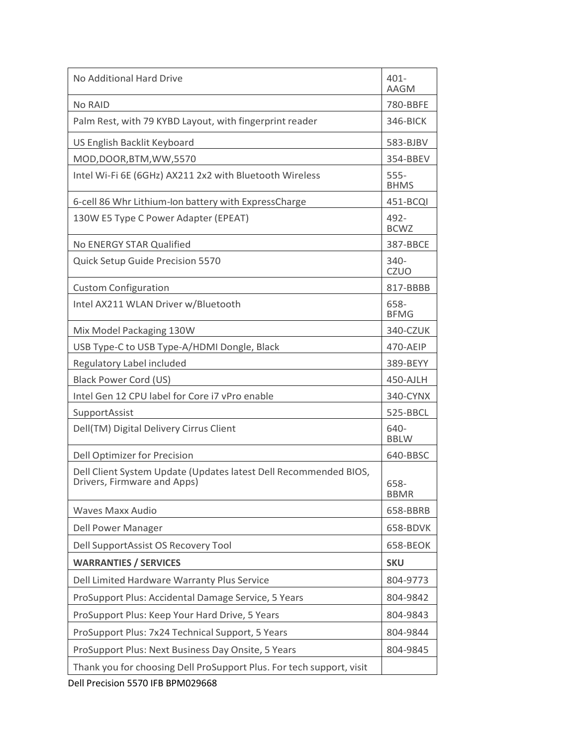| No Additional Hard Drive                                                                        | $401 -$<br>AAGM        |
|-------------------------------------------------------------------------------------------------|------------------------|
| No RAID                                                                                         | 780-BBFE               |
| Palm Rest, with 79 KYBD Layout, with fingerprint reader                                         | 346-BICK               |
| US English Backlit Keyboard                                                                     | 583-BJBV               |
| MOD, DOOR, BTM, WW, 5570                                                                        | 354-BBEV               |
| Intel Wi-Fi 6E (6GHz) AX211 2x2 with Bluetooth Wireless                                         | $555 -$<br><b>BHMS</b> |
| 6-cell 86 Whr Lithium-Ion battery with ExpressCharge                                            | 451-BCQI               |
| 130W E5 Type C Power Adapter (EPEAT)                                                            | $492 -$<br><b>BCWZ</b> |
| No ENERGY STAR Qualified                                                                        | 387-BBCE               |
| Quick Setup Guide Precision 5570                                                                | $340-$<br><b>CZUO</b>  |
| <b>Custom Configuration</b>                                                                     | 817-BBBB               |
| Intel AX211 WLAN Driver w/Bluetooth                                                             | 658-<br><b>BFMG</b>    |
| Mix Model Packaging 130W                                                                        | 340-CZUK               |
| USB Type-C to USB Type-A/HDMI Dongle, Black                                                     | 470-AEIP               |
| Regulatory Label included                                                                       | 389-BEYY               |
| <b>Black Power Cord (US)</b>                                                                    | 450-AJLH               |
| Intel Gen 12 CPU label for Core i7 vPro enable                                                  | 340-CYNX               |
| SupportAssist                                                                                   | 525-BBCL               |
| Dell(TM) Digital Delivery Cirrus Client                                                         | 640-<br><b>BBLW</b>    |
| Dell Optimizer for Precision                                                                    | 640-BBSC               |
| Dell Client System Update (Updates latest Dell Recommended BIOS,<br>Drivers, Firmware and Apps) | 658-<br><b>BBMR</b>    |
| <b>Waves Maxx Audio</b>                                                                         | 658-BBRB               |
| <b>Dell Power Manager</b>                                                                       | 658-BDVK               |
| Dell SupportAssist OS Recovery Tool                                                             | 658-BEOK               |
| <b>WARRANTIES / SERVICES</b>                                                                    | <b>SKU</b>             |
| Dell Limited Hardware Warranty Plus Service                                                     | 804-9773               |
| ProSupport Plus: Accidental Damage Service, 5 Years                                             | 804-9842               |
| ProSupport Plus: Keep Your Hard Drive, 5 Years                                                  | 804-9843               |
| ProSupport Plus: 7x24 Technical Support, 5 Years                                                | 804-9844               |
| ProSupport Plus: Next Business Day Onsite, 5 Years                                              | 804-9845               |
| Thank you for choosing Dell ProSupport Plus. For tech support, visit                            |                        |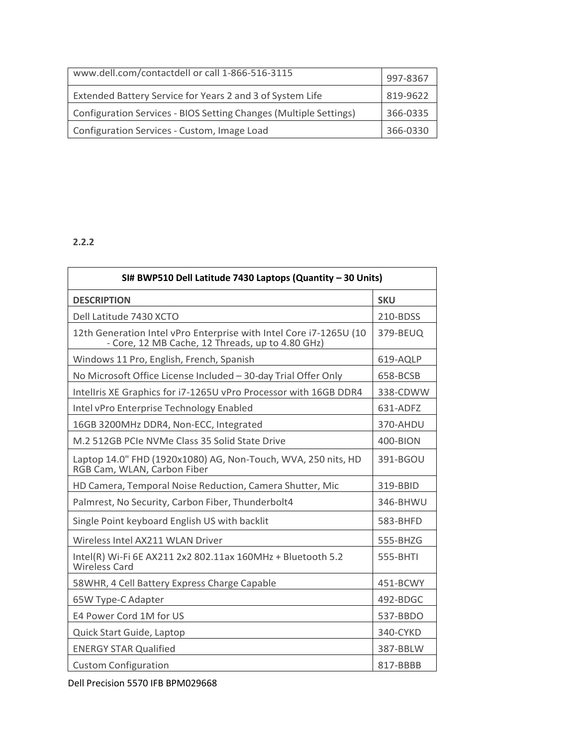| www.dell.com/contactdell or call 1-866-516-3115                   | 997-8367 |
|-------------------------------------------------------------------|----------|
| Extended Battery Service for Years 2 and 3 of System Life         | 819-9622 |
| Configuration Services - BIOS Setting Changes (Multiple Settings) |          |
| Configuration Services - Custom, Image Load                       | 366-0330 |

## **2.2.2**

| SI# BWP510 Dell Latitude 7430 Laptops (Quantity - 30 Units)                                                            |            |  |
|------------------------------------------------------------------------------------------------------------------------|------------|--|
| <b>DESCRIPTION</b>                                                                                                     | <b>SKU</b> |  |
| Dell Latitude 7430 XCTO                                                                                                | 210-BDSS   |  |
| 12th Generation Intel vPro Enterprise with Intel Core i7-1265U (10<br>- Core, 12 MB Cache, 12 Threads, up to 4.80 GHz) | 379-BEUQ   |  |
| Windows 11 Pro, English, French, Spanish                                                                               | 619-AQLP   |  |
| No Microsoft Office License Included - 30-day Trial Offer Only                                                         | 658-BCSB   |  |
| Intellris XE Graphics for i7-1265U vPro Processor with 16GB DDR4                                                       | 338-CDWW   |  |
| Intel vPro Enterprise Technology Enabled                                                                               | 631-ADFZ   |  |
| 16GB 3200MHz DDR4, Non-ECC, Integrated                                                                                 | 370-AHDU   |  |
| M.2 512GB PCIe NVMe Class 35 Solid State Drive                                                                         | 400-BION   |  |
| Laptop 14.0" FHD (1920x1080) AG, Non-Touch, WVA, 250 nits, HD<br>RGB Cam, WLAN, Carbon Fiber                           | 391-BGOU   |  |
| HD Camera, Temporal Noise Reduction, Camera Shutter, Mic                                                               | 319-BBID   |  |
| Palmrest, No Security, Carbon Fiber, Thunderbolt4                                                                      | 346-BHWU   |  |
| Single Point keyboard English US with backlit                                                                          | 583-BHFD   |  |
| Wireless Intel AX211 WLAN Driver                                                                                       | 555-BHZG   |  |
| Intel(R) Wi-Fi 6E AX211 2x2 802.11ax 160MHz + Bluetooth 5.2<br><b>Wireless Card</b>                                    | 555-BHTI   |  |
| 58WHR, 4 Cell Battery Express Charge Capable                                                                           | 451-BCWY   |  |
| 65W Type-C Adapter                                                                                                     | 492-BDGC   |  |
| E4 Power Cord 1M for US                                                                                                | 537-BBDO   |  |
| Quick Start Guide, Laptop                                                                                              | 340-CYKD   |  |
| <b>ENERGY STAR Qualified</b>                                                                                           | 387-BBLW   |  |
| <b>Custom Configuration</b>                                                                                            | 817-BBBB   |  |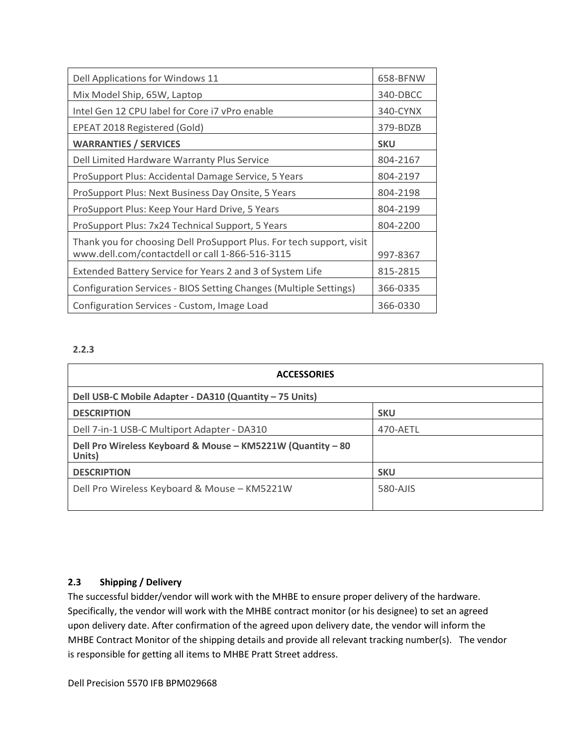| Dell Applications for Windows 11                                                                                        | 658-BFNW   |
|-------------------------------------------------------------------------------------------------------------------------|------------|
| Mix Model Ship, 65W, Laptop                                                                                             | 340-DBCC   |
| Intel Gen 12 CPU label for Core i7 vPro enable                                                                          | 340-CYNX   |
| EPEAT 2018 Registered (Gold)                                                                                            | 379-BDZB   |
| <b>WARRANTIES / SERVICES</b>                                                                                            | <b>SKU</b> |
| Dell Limited Hardware Warranty Plus Service                                                                             | 804-2167   |
| ProSupport Plus: Accidental Damage Service, 5 Years                                                                     | 804-2197   |
| ProSupport Plus: Next Business Day Onsite, 5 Years                                                                      | 804-2198   |
| ProSupport Plus: Keep Your Hard Drive, 5 Years                                                                          | 804-2199   |
| ProSupport Plus: 7x24 Technical Support, 5 Years                                                                        | 804-2200   |
| Thank you for choosing Dell ProSupport Plus. For tech support, visit<br>www.dell.com/contactdell or call 1-866-516-3115 |            |
|                                                                                                                         | 997-8367   |
| Extended Battery Service for Years 2 and 3 of System Life                                                               | 815-2815   |
| Configuration Services - BIOS Setting Changes (Multiple Settings)                                                       | 366-0335   |
| Configuration Services - Custom, Image Load                                                                             | 366-0330   |

#### **2.2.3**

| <b>ACCESSORIES</b>                                                    |            |  |  |
|-----------------------------------------------------------------------|------------|--|--|
| Dell USB-C Mobile Adapter - DA310 (Quantity - 75 Units)               |            |  |  |
| <b>DESCRIPTION</b>                                                    | <b>SKU</b> |  |  |
| Dell 7-in-1 USB-C Multiport Adapter - DA310                           | 470-AETL   |  |  |
| Dell Pro Wireless Keyboard & Mouse - KM5221W (Quantity - 80<br>Units) |            |  |  |
| <b>DESCRIPTION</b>                                                    | <b>SKU</b> |  |  |
| Dell Pro Wireless Keyboard & Mouse - KM5221W                          | 580-AJIS   |  |  |

### **2.3 Shipping / Delivery**

The successful bidder/vendor will work with the MHBE to ensure proper delivery of the hardware. Specifically, the vendor will work with the MHBE contract monitor (or his designee) to set an agreed upon delivery date. After confirmation of the agreed upon delivery date, the vendor will inform the MHBE Contract Monitor of the shipping details and provide all relevant tracking number(s). The vendor is responsible for getting all items to MHBE Pratt Street address.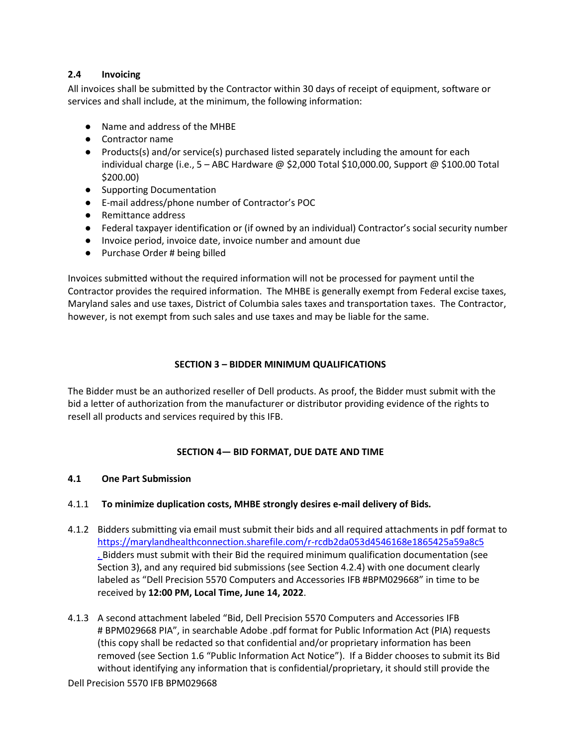## **2.4 Invoicing**

All invoices shall be submitted by the Contractor within 30 days of receipt of equipment, software or services and shall include, at the minimum, the following information:

- Name and address of the MHBE
- Contractor name
- Products(s) and/or service(s) purchased listed separately including the amount for each individual charge (i.e.,  $5 - ABC$  Hardware @ \$2,000 Total \$10,000.00, Support @ \$100.00 Total \$200.00)
- Supporting Documentation
- E-mail address/phone number of Contractor's POC
- Remittance address
- Federal taxpayer identification or (if owned by an individual) Contractor's social security number
- Invoice period, invoice date, invoice number and amount due
- Purchase Order # being billed

Invoices submitted without the required information will not be processed for payment until the Contractor provides the required information. The MHBE is generally exempt from Federal excise taxes, Maryland sales and use taxes, District of Columbia sales taxes and transportation taxes. The Contractor, however, is not exempt from such sales and use taxes and may be liable for the same.

## **SECTION 3 – BIDDER MINIMUM QUALIFICATIONS**

<span id="page-9-0"></span>The Bidder must be an authorized reseller of Dell products. As proof, the Bidder must submit with the bid a letter of authorization from the manufacturer or distributor providing evidence of the rights to resell all products and services required by this IFB.

## **SECTION 4— BID FORMAT, DUE DATE AND TIME**

#### <span id="page-9-1"></span>**4.1 One Part Submission**

## 4.1.1 **To minimize duplication costs, MHBE strongly desires e-mail delivery of Bids***.*

- 4.1.2 Bidders submitting via email must submit their bids and all required attachments in pdf format to <https://marylandhealthconnection.sharefile.com/r-rcdb2da053d4546168e1865425a59a8c5> . Bidders must submit with their Bid the required minimum qualification documentation (see Section 3), and any required bid submissions (see Section 4.2.4) with one document clearly labeled as "Dell Precision 5570 Computers and Accessories IFB #BPM029668" in time to be received by **12:00 PM, Local Time, June 14, 2022**.
- 4.1.3 A second attachment labeled "Bid, Dell Precision 5570 Computers and Accessories IFB # BPM029668 PIA", in searchable Adobe .pdf format for Public Information Act (PIA) requests (this copy shall be redacted so that confidential and/or proprietary information has been removed (see Section 1.6 "Public Information Act Notice"). If a Bidder chooses to submit its Bid without identifying any information that is confidential/proprietary, it should still provide the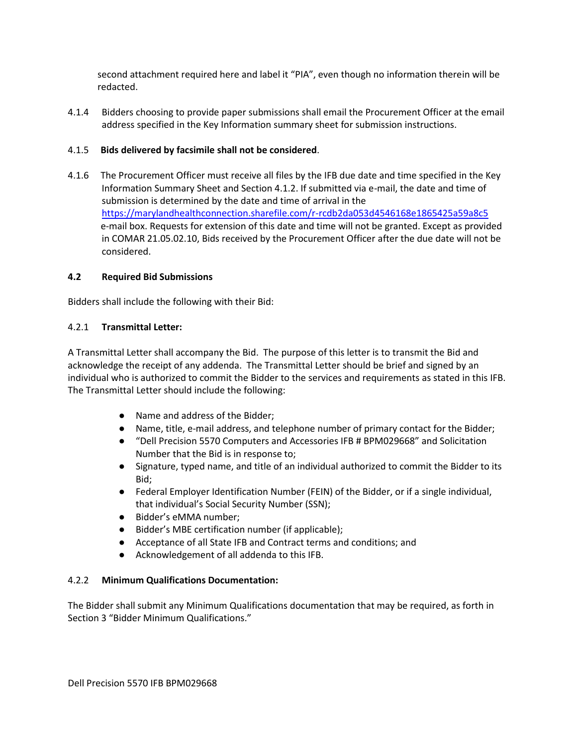second attachment required here and label it "PIA", even though no information therein will be redacted.

4.1.4 Bidders choosing to provide paper submissions shall email the Procurement Officer at the email address specified in the Key Information summary sheet for submission instructions.

## 4.1.5 **Bids delivered by facsimile shall not be considered**.

4.1.6 The Procurement Officer must receive all files by the IFB due date and time specified in the Key Information Summary Sheet and Section 4.1.2. If submitted via e-mail, the date and time of submission is determined by the date and time of arrival in the <https://marylandhealthconnection.sharefile.com/r-rcdb2da053d4546168e1865425a59a8c5> e-mail box. Requests for extension of this date and time will not be granted. Except as provided in COMAR 21.05.02.10, Bids received by the Procurement Officer after the due date will not be considered.

#### **4.2 Required Bid Submissions**

Bidders shall include the following with their Bid:

#### 4.2.1 **Transmittal Letter:**

A Transmittal Letter shall accompany the Bid. The purpose of this letter is to transmit the Bid and acknowledge the receipt of any addenda. The Transmittal Letter should be brief and signed by an individual who is authorized to commit the Bidder to the services and requirements as stated in this IFB. The Transmittal Letter should include the following:

- Name and address of the Bidder;
- Name, title, e-mail address, and telephone number of primary contact for the Bidder;
- "Dell Precision 5570 Computers and Accessories IFB # BPM029668" and Solicitation Number that the Bid is in response to;
- Signature, typed name, and title of an individual authorized to commit the Bidder to its Bid;
- Federal Employer Identification Number (FEIN) of the Bidder, or if a single individual, that individual's Social Security Number (SSN);
- Bidder's eMMA number;
- Bidder's MBE certification number (if applicable);
- Acceptance of all State IFB and Contract terms and conditions; and
- Acknowledgement of all addenda to this IFB.

#### 4.2.2 **Minimum Qualifications Documentation:**

The Bidder shall submit any Minimum Qualifications documentation that may be required, as forth in Section 3 "Bidder Minimum Qualifications."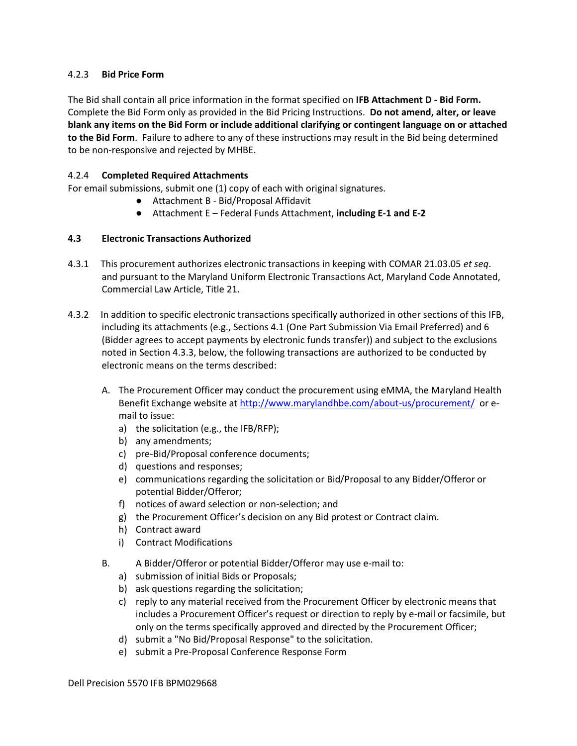## 4.2.3 **Bid Price Form**

The Bid shall contain all price information in the format specified on **IFB Attachment D - Bid Form.** Complete the Bid Form only as provided in the Bid Pricing Instructions. **Do not amend, alter, or leave blank any items on the Bid Form or include additional clarifying or contingent language on or attached to the Bid Form**. Failure to adhere to any of these instructions may result in the Bid being determined to be non-responsive and rejected by MHBE.

### 4.2.4 **Completed Required Attachments**

For email submissions, submit one (1) copy of each with original signatures.

- Attachment B Bid/Proposal Affidavit
- Attachment E Federal Funds Attachment, **including E-1 and E-2**

## **4.3 Electronic Transactions Authorized**

- 4.3.1 This procurement authorizes electronic transactions in keeping with COMAR 21.03.05 *et seq*. and pursuant to the Maryland Uniform Electronic Transactions Act, Maryland Code Annotated, Commercial Law Article, Title 21.
- 4.3.2 In addition to specific electronic transactions specifically authorized in other sections of this IFB, including its attachments (e.g., Sections 4.1 (One Part Submission Via Email Preferred) and 6 (Bidder agrees to accept payments by electronic funds transfer)) and subject to the exclusions noted in Section 4.3.3, below, the following transactions are authorized to be conducted by electronic means on the terms described:
	- A. The Procurement Officer may conduct the procurement using eMMA, the Maryland Health Benefit Exchange website a[t http://www.marylandhbe.com/about-us/procurement/](http://www.marylandhbe.com/about-us/procurement/) or email to issue:
		- a) the solicitation (e.g., the IFB/RFP);
		- b) any amendments;
		- c) pre-Bid/Proposal conference documents;
		- d) questions and responses;
		- e) communications regarding the solicitation or Bid/Proposal to any Bidder/Offeror or potential Bidder/Offeror;
		- f) notices of award selection or non-selection; and
		- g) the Procurement Officer's decision on any Bid protest or Contract claim.
		- h) Contract award
		- i) Contract Modifications
	- B. A Bidder/Offeror or potential Bidder/Offeror may use e-mail to:
		- a) submission of initial Bids or Proposals;
		- b) ask questions regarding the solicitation;
		- c) reply to any material received from the Procurement Officer by electronic means that includes a Procurement Officer's request or direction to reply by e-mail or facsimile, but only on the terms specifically approved and directed by the Procurement Officer;
		- d) submit a "No Bid/Proposal Response" to the solicitation.
		- e) submit a Pre-Proposal Conference Response Form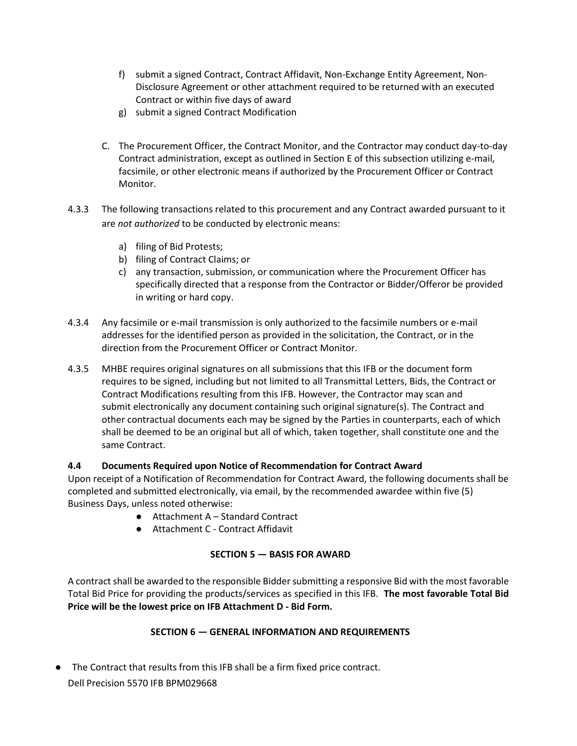- f) submit a signed Contract, Contract Affidavit, Non-Exchange Entity Agreement, Non-Disclosure Agreement or other attachment required to be returned with an executed Contract or within five days of award
- g) submit a signed Contract Modification
- C. The Procurement Officer, the Contract Monitor, and the Contractor may conduct day-to-day Contract administration, except as outlined in Section E of this subsection utilizing e-mail, facsimile, or other electronic means if authorized by the Procurement Officer or Contract Monitor.
- 4.3.3 The following transactions related to this procurement and any Contract awarded pursuant to it are *not authorized* to be conducted by electronic means:
	- a) filing of Bid Protests;
	- b) filing of Contract Claims; or
	- c) any transaction, submission, or communication where the Procurement Officer has specifically directed that a response from the Contractor or Bidder/Offeror be provided in writing or hard copy.
- 4.3.4 Any facsimile or e-mail transmission is only authorized to the facsimile numbers or e-mail addresses for the identified person as provided in the solicitation, the Contract, or in the direction from the Procurement Officer or Contract Monitor.
- 4.3.5 MHBE requires original signatures on all submissions that this IFB or the document form requires to be signed, including but not limited to all Transmittal Letters, Bids, the Contract or Contract Modifications resulting from this IFB. However, the Contractor may scan and submit electronically any document containing such original signature(s). The Contract and other contractual documents each may be signed by the Parties in counterparts, each of which shall be deemed to be an original but all of which, taken together, shall constitute one and the same Contract.

## **4.4 Documents Required upon Notice of Recommendation for Contract Award**

Upon receipt of a Notification of Recommendation for Contract Award, the following documents shall be completed and submitted electronically, via email, by the recommended awardee within five (5) Business Days, unless noted otherwise:

- Attachment A Standard Contract
- Attachment C Contract Affidavit

## **SECTION 5 — BASIS FOR AWARD**

<span id="page-12-0"></span>A contract shall be awarded to the responsible Bidder submitting a responsive Bid with the most favorable Total Bid Price for providing the products/services as specified in this IFB. **The most favorable Total Bid Price will be the lowest price on IFB Attachment D - Bid Form.**

## **SECTION 6 — GENERAL INFORMATION AND REQUIREMENTS**

<span id="page-12-1"></span>Dell Precision 5570 IFB BPM029668 ● The Contract that results from this IFB shall be a firm fixed price contract.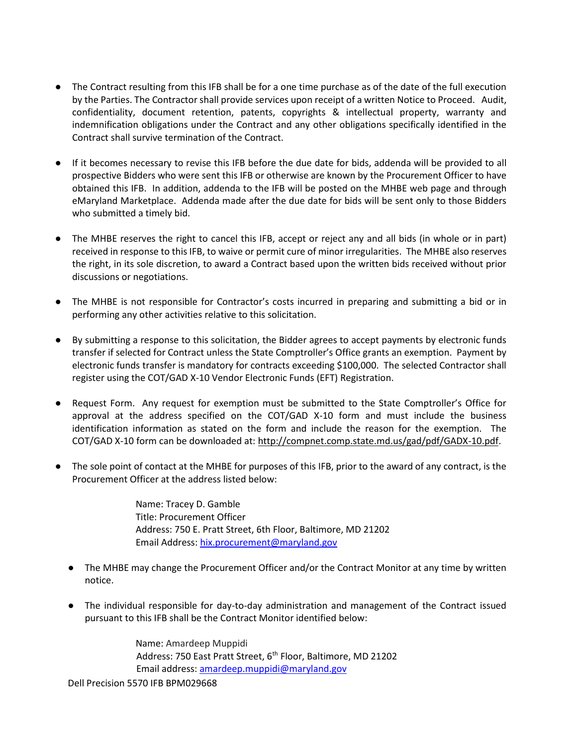- The Contract resulting from this IFB shall be for a one time purchase as of the date of the full execution by the Parties. The Contractor shall provide services upon receipt of a written Notice to Proceed. Audit, confidentiality, document retention, patents, copyrights & intellectual property, warranty and indemnification obligations under the Contract and any other obligations specifically identified in the Contract shall survive termination of the Contract.
- If it becomes necessary to revise this IFB before the due date for bids, addenda will be provided to all prospective Bidders who were sent this IFB or otherwise are known by the Procurement Officer to have obtained this IFB. In addition, addenda to the IFB will be posted on the MHBE web page and through eMaryland Marketplace. Addenda made after the due date for bids will be sent only to those Bidders who submitted a timely bid.
- The MHBE reserves the right to cancel this IFB, accept or reject any and all bids (in whole or in part) received in response to this IFB, to waive or permit cure of minor irregularities. The MHBE also reserves the right, in its sole discretion, to award a Contract based upon the written bids received without prior discussions or negotiations.
- The MHBE is not responsible for Contractor's costs incurred in preparing and submitting a bid or in performing any other activities relative to this solicitation.
- By submitting a response to this solicitation, the Bidder agrees to accept payments by electronic funds transfer if selected for Contract unless the State Comptroller's Office grants an exemption. Payment by electronic funds transfer is mandatory for contracts exceeding \$100,000. The selected Contractor shall register using the COT/GAD X-10 Vendor Electronic Funds (EFT) Registration.
- Request Form. Any request for exemption must be submitted to the State Comptroller's Office for approval at the address specified on the COT/GAD X-10 form and must include the business identification information as stated on the form and include the reason for the exemption. The COT/GAD X-10 form can be downloaded at[: http://compnet.comp.state.md.us/gad/pdf/GADX-10.pdf.](http://compnet.comp.state.md.us/gad/pdf/GADX-10.pdf)
- The sole point of contact at the MHBE for purposes of this IFB, prior to the award of any contract, is the Procurement Officer at the address listed below:

Name: Tracey D. Gamble Title: Procurement Officer Address: 750 E. Pratt Street, 6th Floor, Baltimore, MD 21202 Email Address: [hix.procurement@maryland.gov](mailto:hix.procurement@maryland.gov)

- The MHBE may change the Procurement Officer and/or the Contract Monitor at any time by written notice.
- The individual responsible for day-to-day administration and management of the Contract issued pursuant to this IFB shall be the Contract Monitor identified below:

Name: Amardeep Muppidi Address: 750 East Pratt Street, 6<sup>th</sup> Floor, Baltimore, MD 21202 Email address: [amardeep.muppidi@maryland.gov](mailto:amardeep.muppidi@maryland.gov)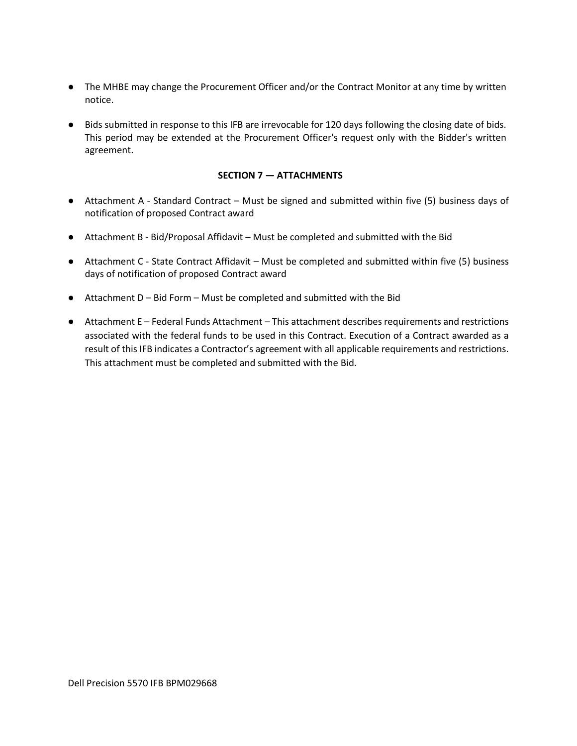- The MHBE may change the Procurement Officer and/or the Contract Monitor at any time by written notice.
- Bids submitted in response to this IFB are irrevocable for 120 days following the closing date of bids. This period may be extended at the Procurement Officer's request only with the Bidder's written agreement.

#### **SECTION 7 — ATTACHMENTS**

- <span id="page-14-0"></span>● Attachment A - Standard Contract – Must be signed and submitted within five (5) business days of notification of proposed Contract award
- Attachment B Bid/Proposal Affidavit Must be completed and submitted with the Bid
- Attachment C State Contract Affidavit Must be completed and submitted within five (5) business days of notification of proposed Contract award
- Attachment D Bid Form Must be completed and submitted with the Bid
- Attachment E Federal Funds Attachment This attachment describes requirements and restrictions associated with the federal funds to be used in this Contract. Execution of a Contract awarded as a result of this IFB indicates a Contractor's agreement with all applicable requirements and restrictions. This attachment must be completed and submitted with the Bid.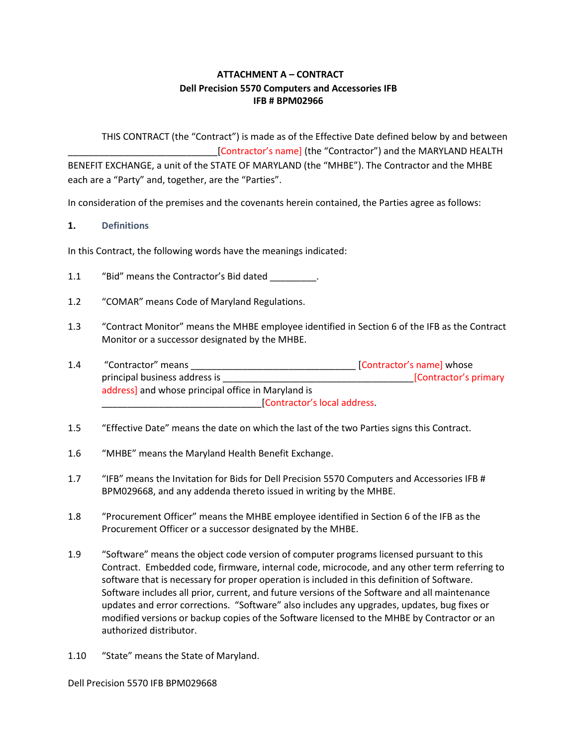## **ATTACHMENT A – CONTRACT Dell Precision 5570 Computers and Accessories IFB IFB # BPM02966**

<span id="page-15-0"></span>THIS CONTRACT (the "Contract") is made as of the Effective Date defined below by and between [Contractor's name] (the "Contractor") and the MARYLAND HEALTH BENEFIT EXCHANGE, a unit of the STATE OF MARYLAND (the "MHBE"). The Contractor and the MHBE each are a "Party" and, together, are the "Parties".

In consideration of the premises and the covenants herein contained, the Parties agree as follows:

#### **1. Definitions**

In this Contract, the following words have the meanings indicated:

- 1.1 "Bid" means the Contractor's Bid dated \_\_\_\_\_\_\_\_.
- 1.2 "COMAR" means Code of Maryland Regulations.
- 1.3 "Contract Monitor" means the MHBE employee identified in Section 6 of the IFB as the Contract Monitor or a successor designated by the MHBE.
- 1.4 "Contractor" means \_\_\_\_\_\_\_\_\_\_\_\_\_\_\_\_\_\_\_\_\_\_\_\_\_\_\_\_\_\_\_\_ [Contractor's name] whose principal business address is \_\_\_\_\_\_\_\_\_\_\_\_\_\_\_\_\_\_\_\_\_\_\_\_\_\_\_\_\_\_\_\_\_\_\_\_\_[Contractor's primary address] and whose principal office in Maryland is \_\_\_\_\_\_\_\_\_\_\_\_\_\_\_\_\_\_\_\_\_\_\_\_\_\_\_\_\_\_\_[Contractor's local address.
- 1.5 "Effective Date" means the date on which the last of the two Parties signs this Contract.
- 1.6 "MHBE" means the Maryland Health Benefit Exchange.
- 1.7 "IFB" means the Invitation for Bids for Dell Precision 5570 Computers and Accessories IFB # BPM029668, and any addenda thereto issued in writing by the MHBE.
- 1.8 "Procurement Officer" means the MHBE employee identified in Section 6 of the IFB as the Procurement Officer or a successor designated by the MHBE.
- 1.9 "Software" means the object code version of computer programs licensed pursuant to this Contract. Embedded code, firmware, internal code, microcode, and any other term referring to software that is necessary for proper operation is included in this definition of Software. Software includes all prior, current, and future versions of the Software and all maintenance updates and error corrections. "Software" also includes any upgrades, updates, bug fixes or modified versions or backup copies of the Software licensed to the MHBE by Contractor or an authorized distributor.
- 1.10 "State" means the State of Maryland.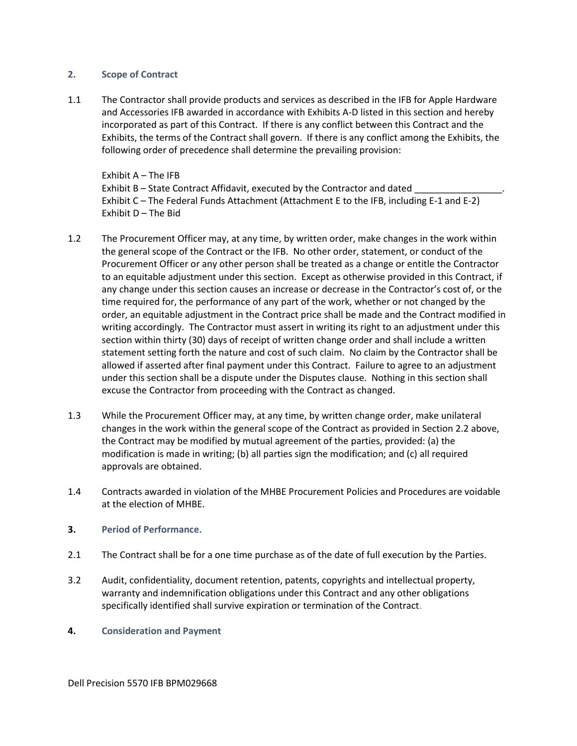#### **2. Scope of Contract**

1.1 The Contractor shall provide products and services as described in the IFB for Apple Hardware and Accessories IFB awarded in accordance with Exhibits A-D listed in this section and hereby incorporated as part of this Contract. If there is any conflict between this Contract and the Exhibits, the terms of the Contract shall govern. If there is any conflict among the Exhibits, the following order of precedence shall determine the prevailing provision:

Exhibit A – The IFB Exhibit B – State Contract Affidavit, executed by the Contractor and dated Exhibit C – The Federal Funds Attachment (Attachment E to the IFB, including E-1 and E-2) Exhibit D – The Bid

- 1.2 The Procurement Officer may, at any time, by written order, make changes in the work within the general scope of the Contract or the IFB. No other order, statement, or conduct of the Procurement Officer or any other person shall be treated as a change or entitle the Contractor to an equitable adjustment under this section. Except as otherwise provided in this Contract, if any change under this section causes an increase or decrease in the Contractor's cost of, or the time required for, the performance of any part of the work, whether or not changed by the order, an equitable adjustment in the Contract price shall be made and the Contract modified in writing accordingly. The Contractor must assert in writing its right to an adjustment under this section within thirty (30) days of receipt of written change order and shall include a written statement setting forth the nature and cost of such claim. No claim by the Contractor shall be allowed if asserted after final payment under this Contract. Failure to agree to an adjustment under this section shall be a dispute under the Disputes clause. Nothing in this section shall excuse the Contractor from proceeding with the Contract as changed.
- 1.3 While the Procurement Officer may, at any time, by written change order, make unilateral changes in the work within the general scope of the Contract as provided in Section 2.2 above, the Contract may be modified by mutual agreement of the parties, provided: (a) the modification is made in writing; (b) all parties sign the modification; and (c) all required approvals are obtained.
- 1.4 Contracts awarded in violation of the MHBE Procurement Policies and Procedures are voidable at the election of MHBE.

#### **3. Period of Performance.**

- 2.1 The Contract shall be for a one time purchase as of the date of full execution by the Parties.
- 3.2 Audit, confidentiality, document retention, patents, copyrights and intellectual property, warranty and indemnification obligations under this Contract and any other obligations specifically identified shall survive expiration or termination of the Contract.

#### **4. Consideration and Payment**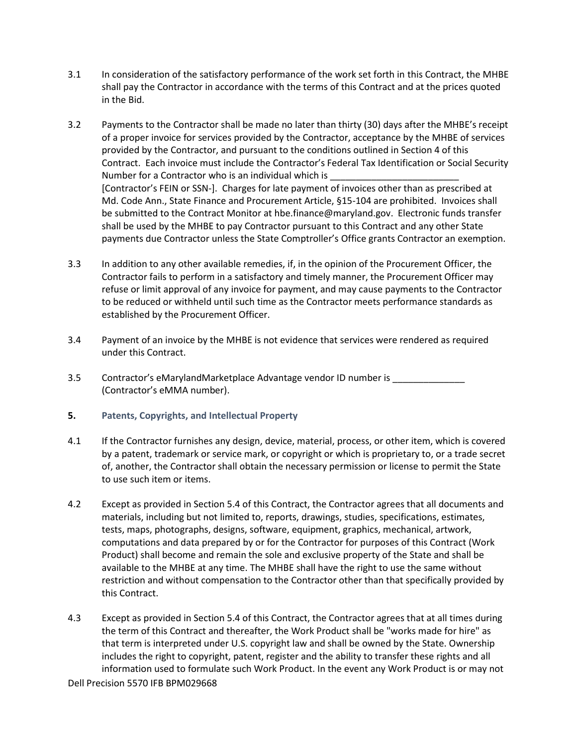- 3.1 In consideration of the satisfactory performance of the work set forth in this Contract, the MHBE shall pay the Contractor in accordance with the terms of this Contract and at the prices quoted in the Bid.
- 3.2 Payments to the Contractor shall be made no later than thirty (30) days after the MHBE's receipt of a proper invoice for services provided by the Contractor, acceptance by the MHBE of services provided by the Contractor, and pursuant to the conditions outlined in Section 4 of this Contract. Each invoice must include the Contractor's Federal Tax Identification or Social Security Number for a Contractor who is an individual which is [Contractor's FEIN or SSN-]. Charges for late payment of invoices other than as prescribed at Md. Code Ann., State Finance and Procurement Article, §15-104 are prohibited. Invoices shall be submitted to the Contract Monitor at hbe.finance@maryland.gov. Electronic funds transfer shall be used by the MHBE to pay Contractor pursuant to this Contract and any other State payments due Contractor unless the State Comptroller's Office grants Contractor an exemption.
- 3.3 In addition to any other available remedies, if, in the opinion of the Procurement Officer, the Contractor fails to perform in a satisfactory and timely manner, the Procurement Officer may refuse or limit approval of any invoice for payment, and may cause payments to the Contractor to be reduced or withheld until such time as the Contractor meets performance standards as established by the Procurement Officer.
- 3.4 Payment of an invoice by the MHBE is not evidence that services were rendered as required under this Contract.
- 3.5 Contractor's eMarylandMarketplace Advantage vendor ID number is \_\_\_\_\_\_\_\_\_\_\_\_ (Contractor's eMMA number).
- **5. Patents, Copyrights, and Intellectual Property**
- 4.1 If the Contractor furnishes any design, device, material, process, or other item, which is covered by a patent, trademark or service mark, or copyright or which is proprietary to, or a trade secret of, another, the Contractor shall obtain the necessary permission or license to permit the State to use such item or items.
- 4.2 Except as provided in Section 5.4 of this Contract, the Contractor agrees that all documents and materials, including but not limited to, reports, drawings, studies, specifications, estimates, tests, maps, photographs, designs, software, equipment, graphics, mechanical, artwork, computations and data prepared by or for the Contractor for purposes of this Contract (Work Product) shall become and remain the sole and exclusive property of the State and shall be available to the MHBE at any time. The MHBE shall have the right to use the same without restriction and without compensation to the Contractor other than that specifically provided by this Contract.
- 4.3 Except as provided in Section 5.4 of this Contract, the Contractor agrees that at all times during the term of this Contract and thereafter, the Work Product shall be "works made for hire" as that term is interpreted under U.S. copyright law and shall be owned by the State. Ownership includes the right to copyright, patent, register and the ability to transfer these rights and all information used to formulate such Work Product. In the event any Work Product is or may not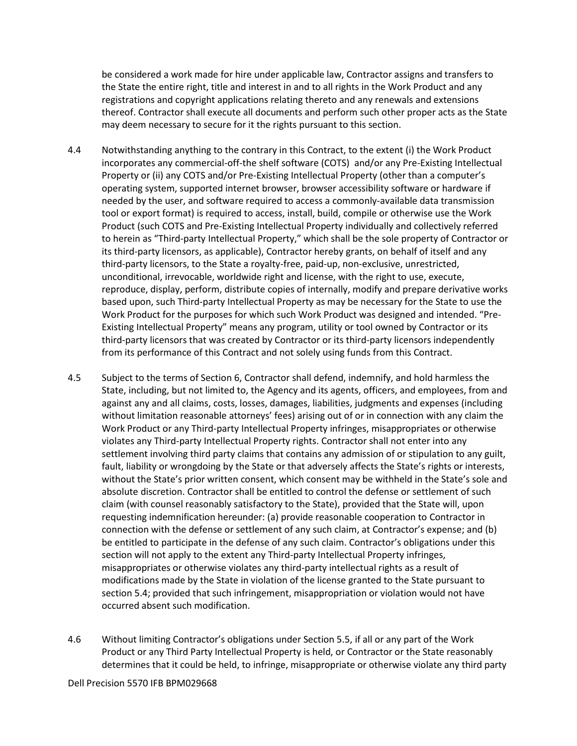be considered a work made for hire under applicable law, Contractor assigns and transfers to the State the entire right, title and interest in and to all rights in the Work Product and any registrations and copyright applications relating thereto and any renewals and extensions thereof. Contractor shall execute all documents and perform such other proper acts as the State may deem necessary to secure for it the rights pursuant to this section.

- 4.4 Notwithstanding anything to the contrary in this Contract, to the extent (i) the Work Product incorporates any commercial-off-the shelf software (COTS) and/or any Pre-Existing Intellectual Property or (ii) any COTS and/or Pre-Existing Intellectual Property (other than a computer's operating system, supported internet browser, browser accessibility software or hardware if needed by the user, and software required to access a commonly-available data transmission tool or export format) is required to access, install, build, compile or otherwise use the Work Product (such COTS and Pre-Existing Intellectual Property individually and collectively referred to herein as "Third-party Intellectual Property," which shall be the sole property of Contractor or its third-party licensors, as applicable), Contractor hereby grants, on behalf of itself and any third-party licensors, to the State a royalty-free, paid-up, non-exclusive, unrestricted, unconditional, irrevocable, worldwide right and license, with the right to use, execute, reproduce, display, perform, distribute copies of internally, modify and prepare derivative works based upon, such Third-party Intellectual Property as may be necessary for the State to use the Work Product for the purposes for which such Work Product was designed and intended. "Pre-Existing Intellectual Property" means any program, utility or tool owned by Contractor or its third-party licensors that was created by Contractor or its third-party licensors independently from its performance of this Contract and not solely using funds from this Contract.
- 4.5 Subject to the terms of Section 6, Contractor shall defend, indemnify, and hold harmless the State, including, but not limited to, the Agency and its agents, officers, and employees, from and against any and all claims, costs, losses, damages, liabilities, judgments and expenses (including without limitation reasonable attorneys' fees) arising out of or in connection with any claim the Work Product or any Third-party Intellectual Property infringes, misappropriates or otherwise violates any Third-party Intellectual Property rights. Contractor shall not enter into any settlement involving third party claims that contains any admission of or stipulation to any guilt, fault, liability or wrongdoing by the State or that adversely affects the State's rights or interests, without the State's prior written consent, which consent may be withheld in the State's sole and absolute discretion. Contractor shall be entitled to control the defense or settlement of such claim (with counsel reasonably satisfactory to the State), provided that the State will, upon requesting indemnification hereunder: (a) provide reasonable cooperation to Contractor in connection with the defense or settlement of any such claim, at Contractor's expense; and (b) be entitled to participate in the defense of any such claim. Contractor's obligations under this section will not apply to the extent any Third-party Intellectual Property infringes, misappropriates or otherwise violates any third-party intellectual rights as a result of modifications made by the State in violation of the license granted to the State pursuant to section 5.4; provided that such infringement, misappropriation or violation would not have occurred absent such modification.
- 4.6 Without limiting Contractor's obligations under Section 5.5, if all or any part of the Work Product or any Third Party Intellectual Property is held, or Contractor or the State reasonably determines that it could be held, to infringe, misappropriate or otherwise violate any third party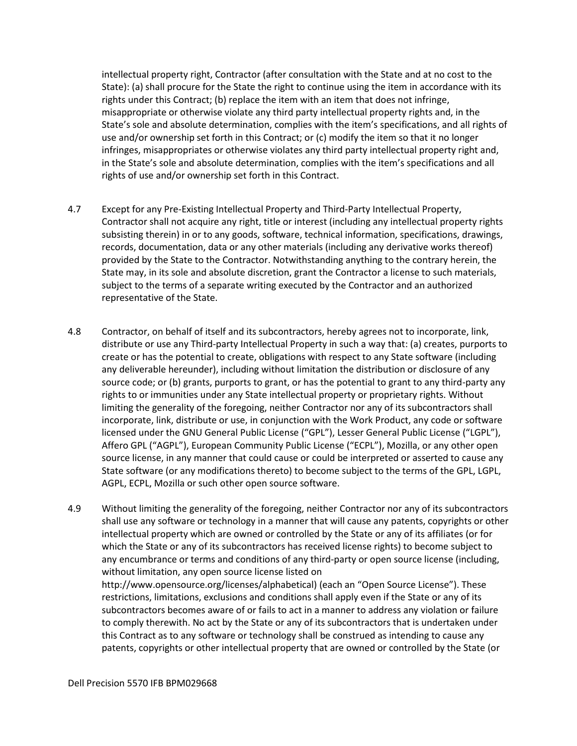intellectual property right, Contractor (after consultation with the State and at no cost to the State): (a) shall procure for the State the right to continue using the item in accordance with its rights under this Contract; (b) replace the item with an item that does not infringe, misappropriate or otherwise violate any third party intellectual property rights and, in the State's sole and absolute determination, complies with the item's specifications, and all rights of use and/or ownership set forth in this Contract; or (c) modify the item so that it no longer infringes, misappropriates or otherwise violates any third party intellectual property right and, in the State's sole and absolute determination, complies with the item's specifications and all rights of use and/or ownership set forth in this Contract.

- 4.7 Except for any Pre-Existing Intellectual Property and Third-Party Intellectual Property, Contractor shall not acquire any right, title or interest (including any intellectual property rights subsisting therein) in or to any goods, software, technical information, specifications, drawings, records, documentation, data or any other materials (including any derivative works thereof) provided by the State to the Contractor. Notwithstanding anything to the contrary herein, the State may, in its sole and absolute discretion, grant the Contractor a license to such materials, subject to the terms of a separate writing executed by the Contractor and an authorized representative of the State.
- 4.8 Contractor, on behalf of itself and its subcontractors, hereby agrees not to incorporate, link, distribute or use any Third-party Intellectual Property in such a way that: (a) creates, purports to create or has the potential to create, obligations with respect to any State software (including any deliverable hereunder), including without limitation the distribution or disclosure of any source code; or (b) grants, purports to grant, or has the potential to grant to any third-party any rights to or immunities under any State intellectual property or proprietary rights. Without limiting the generality of the foregoing, neither Contractor nor any of its subcontractors shall incorporate, link, distribute or use, in conjunction with the Work Product, any code or software licensed under the GNU General Public License ("GPL"), Lesser General Public License ("LGPL"), Affero GPL ("AGPL"), European Community Public License ("ECPL"), Mozilla, or any other open source license, in any manner that could cause or could be interpreted or asserted to cause any State software (or any modifications thereto) to become subject to the terms of the GPL, LGPL, AGPL, ECPL, Mozilla or such other open source software.
- 4.9 Without limiting the generality of the foregoing, neither Contractor nor any of its subcontractors shall use any software or technology in a manner that will cause any patents, copyrights or other intellectual property which are owned or controlled by the State or any of its affiliates (or for which the State or any of its subcontractors has received license rights) to become subject to any encumbrance or terms and conditions of any third-party or open source license (including, without limitation, any open source license listed on http://www.opensource.org/licenses/alphabetical) (each an "Open Source License"). These restrictions, limitations, exclusions and conditions shall apply even if the State or any of its

subcontractors becomes aware of or fails to act in a manner to address any violation or failure to comply therewith. No act by the State or any of its subcontractors that is undertaken under this Contract as to any software or technology shall be construed as intending to cause any patents, copyrights or other intellectual property that are owned or controlled by the State (or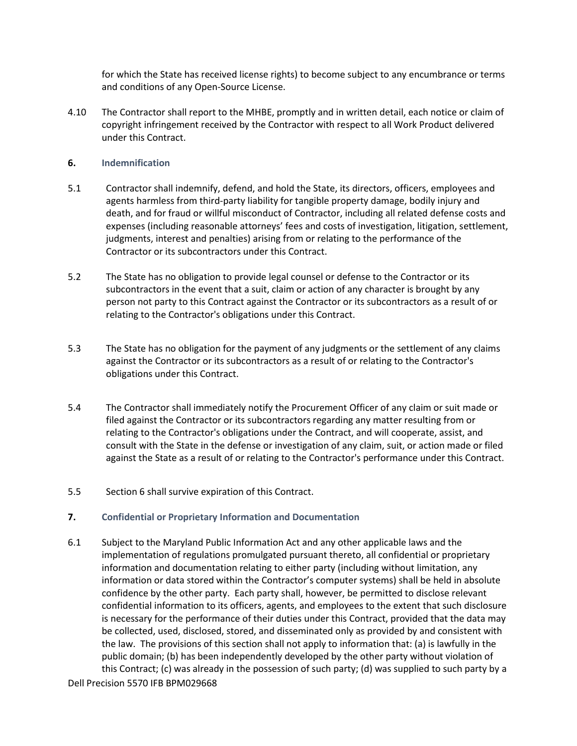for which the State has received license rights) to become subject to any encumbrance or terms and conditions of any Open-Source License.

4.10 The Contractor shall report to the MHBE, promptly and in written detail, each notice or claim of copyright infringement received by the Contractor with respect to all Work Product delivered under this Contract.

#### **6. Indemnification**

- 5.1 Contractor shall indemnify, defend, and hold the State, its directors, officers, employees and agents harmless from third-party liability for tangible property damage, bodily injury and death, and for fraud or willful misconduct of Contractor, including all related defense costs and expenses (including reasonable attorneys' fees and costs of investigation, litigation, settlement, judgments, interest and penalties) arising from or relating to the performance of the Contractor or its subcontractors under this Contract.
- 5.2 The State has no obligation to provide legal counsel or defense to the Contractor or its subcontractors in the event that a suit, claim or action of any character is brought by any person not party to this Contract against the Contractor or its subcontractors as a result of or relating to the Contractor's obligations under this Contract.
- 5.3 The State has no obligation for the payment of any judgments or the settlement of any claims against the Contractor or its subcontractors as a result of or relating to the Contractor's obligations under this Contract.
- 5.4 The Contractor shall immediately notify the Procurement Officer of any claim or suit made or filed against the Contractor or its subcontractors regarding any matter resulting from or relating to the Contractor's obligations under the Contract, and will cooperate, assist, and consult with the State in the defense or investigation of any claim, suit, or action made or filed against the State as a result of or relating to the Contractor's performance under this Contract.
- 5.5 Section 6 shall survive expiration of this Contract.

#### **7. Confidential or Proprietary Information and Documentation**

6.1 Subject to the Maryland Public Information Act and any other applicable laws and the implementation of regulations promulgated pursuant thereto, all confidential or proprietary information and documentation relating to either party (including without limitation, any information or data stored within the Contractor's computer systems) shall be held in absolute confidence by the other party. Each party shall, however, be permitted to disclose relevant confidential information to its officers, agents, and employees to the extent that such disclosure is necessary for the performance of their duties under this Contract, provided that the data may be collected, used, disclosed, stored, and disseminated only as provided by and consistent with the law. The provisions of this section shall not apply to information that: (a) is lawfully in the public domain; (b) has been independently developed by the other party without violation of this Contract; (c) was already in the possession of such party; (d) was supplied to such party by a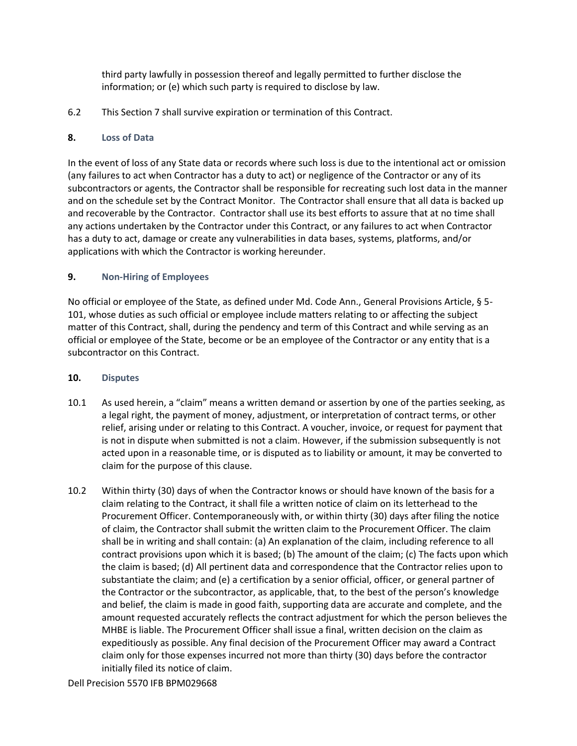third party lawfully in possession thereof and legally permitted to further disclose the information; or (e) which such party is required to disclose by law.

6.2 This Section 7 shall survive expiration or termination of this Contract.

## **8. Loss of Data**

In the event of loss of any State data or records where such loss is due to the intentional act or omission (any failures to act when Contractor has a duty to act) or negligence of the Contractor or any of its subcontractors or agents, the Contractor shall be responsible for recreating such lost data in the manner and on the schedule set by the Contract Monitor. The Contractor shall ensure that all data is backed up and recoverable by the Contractor. Contractor shall use its best efforts to assure that at no time shall any actions undertaken by the Contractor under this Contract, or any failures to act when Contractor has a duty to act, damage or create any vulnerabilities in data bases, systems, platforms, and/or applications with which the Contractor is working hereunder.

## **9. Non-Hiring of Employees**

No official or employee of the State, as defined under Md. Code Ann., General Provisions Article, § 5- 101, whose duties as such official or employee include matters relating to or affecting the subject matter of this Contract, shall, during the pendency and term of this Contract and while serving as an official or employee of the State, become or be an employee of the Contractor or any entity that is a subcontractor on this Contract.

### **10. Disputes**

- 10.1 As used herein, a "claim" means a written demand or assertion by one of the parties seeking, as a legal right, the payment of money, adjustment, or interpretation of contract terms, or other relief, arising under or relating to this Contract. A voucher, invoice, or request for payment that is not in dispute when submitted is not a claim. However, if the submission subsequently is not acted upon in a reasonable time, or is disputed as to liability or amount, it may be converted to claim for the purpose of this clause.
- 10.2 Within thirty (30) days of when the Contractor knows or should have known of the basis for a claim relating to the Contract, it shall file a written notice of claim on its letterhead to the Procurement Officer. Contemporaneously with, or within thirty (30) days after filing the notice of claim, the Contractor shall submit the written claim to the Procurement Officer. The claim shall be in writing and shall contain: (a) An explanation of the claim, including reference to all contract provisions upon which it is based; (b) The amount of the claim; (c) The facts upon which the claim is based; (d) All pertinent data and correspondence that the Contractor relies upon to substantiate the claim; and (e) a certification by a senior official, officer, or general partner of the Contractor or the subcontractor, as applicable, that, to the best of the person's knowledge and belief, the claim is made in good faith, supporting data are accurate and complete, and the amount requested accurately reflects the contract adjustment for which the person believes the MHBE is liable. The Procurement Officer shall issue a final, written decision on the claim as expeditiously as possible. Any final decision of the Procurement Officer may award a Contract claim only for those expenses incurred not more than thirty (30) days before the contractor initially filed its notice of claim.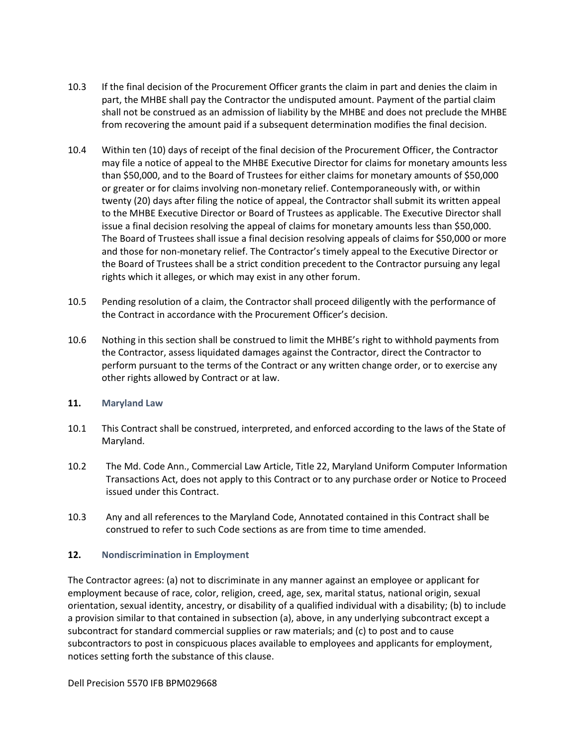- 10.3 If the final decision of the Procurement Officer grants the claim in part and denies the claim in part, the MHBE shall pay the Contractor the undisputed amount. Payment of the partial claim shall not be construed as an admission of liability by the MHBE and does not preclude the MHBE from recovering the amount paid if a subsequent determination modifies the final decision.
- 10.4 Within ten (10) days of receipt of the final decision of the Procurement Officer, the Contractor may file a notice of appeal to the MHBE Executive Director for claims for monetary amounts less than \$50,000, and to the Board of Trustees for either claims for monetary amounts of \$50,000 or greater or for claims involving non-monetary relief. Contemporaneously with, or within twenty (20) days after filing the notice of appeal, the Contractor shall submit its written appeal to the MHBE Executive Director or Board of Trustees as applicable. The Executive Director shall issue a final decision resolving the appeal of claims for monetary amounts less than \$50,000. The Board of Trustees shall issue a final decision resolving appeals of claims for \$50,000 or more and those for non-monetary relief. The Contractor's timely appeal to the Executive Director or the Board of Trustees shall be a strict condition precedent to the Contractor pursuing any legal rights which it alleges, or which may exist in any other forum.
- 10.5 Pending resolution of a claim, the Contractor shall proceed diligently with the performance of the Contract in accordance with the Procurement Officer's decision.
- 10.6 Nothing in this section shall be construed to limit the MHBE's right to withhold payments from the Contractor, assess liquidated damages against the Contractor, direct the Contractor to perform pursuant to the terms of the Contract or any written change order, or to exercise any other rights allowed by Contract or at law.

#### **11. Maryland Law**

- 10.1 This Contract shall be construed, interpreted, and enforced according to the laws of the State of Maryland.
- 10.2 The Md. Code Ann., Commercial Law Article, Title 22, Maryland Uniform Computer Information Transactions Act, does not apply to this Contract or to any purchase order or Notice to Proceed issued under this Contract.
- 10.3 Any and all references to the Maryland Code, Annotated contained in this Contract shall be construed to refer to such Code sections as are from time to time amended.

#### **12. Nondiscrimination in Employment**

The Contractor agrees: (a) not to discriminate in any manner against an employee or applicant for employment because of race, color, religion, creed, age, sex, marital status, national origin, sexual orientation, sexual identity, ancestry, or disability of a qualified individual with a disability; (b) to include a provision similar to that contained in subsection (a), above, in any underlying subcontract except a subcontract for standard commercial supplies or raw materials; and (c) to post and to cause subcontractors to post in conspicuous places available to employees and applicants for employment, notices setting forth the substance of this clause.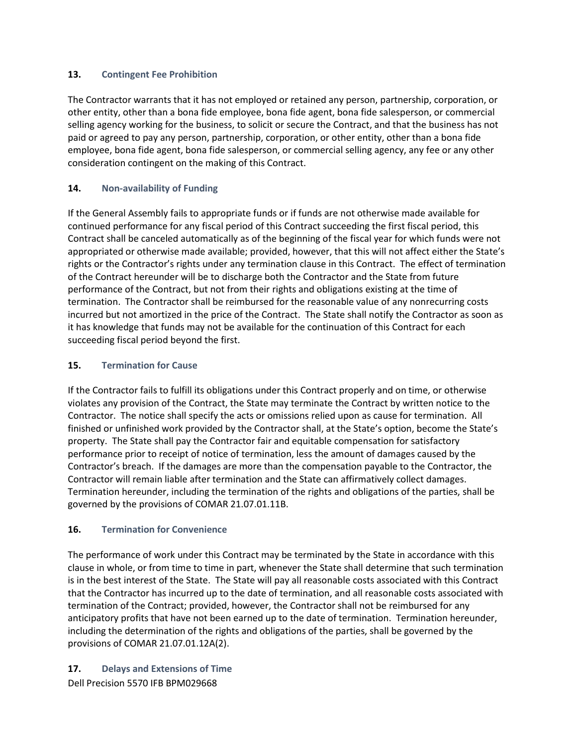### **13. Contingent Fee Prohibition**

The Contractor warrants that it has not employed or retained any person, partnership, corporation, or other entity, other than a bona fide employee, bona fide agent, bona fide salesperson, or commercial selling agency working for the business, to solicit or secure the Contract, and that the business has not paid or agreed to pay any person, partnership, corporation, or other entity, other than a bona fide employee, bona fide agent, bona fide salesperson, or commercial selling agency, any fee or any other consideration contingent on the making of this Contract.

## **14. Non-availability of Funding**

If the General Assembly fails to appropriate funds or if funds are not otherwise made available for continued performance for any fiscal period of this Contract succeeding the first fiscal period, this Contract shall be canceled automatically as of the beginning of the fiscal year for which funds were not appropriated or otherwise made available; provided, however, that this will not affect either the State's rights or the Contractor's rights under any termination clause in this Contract. The effect of termination of the Contract hereunder will be to discharge both the Contractor and the State from future performance of the Contract, but not from their rights and obligations existing at the time of termination. The Contractor shall be reimbursed for the reasonable value of any nonrecurring costs incurred but not amortized in the price of the Contract. The State shall notify the Contractor as soon as it has knowledge that funds may not be available for the continuation of this Contract for each succeeding fiscal period beyond the first.

## **15. Termination for Cause**

If the Contractor fails to fulfill its obligations under this Contract properly and on time, or otherwise violates any provision of the Contract, the State may terminate the Contract by written notice to the Contractor. The notice shall specify the acts or omissions relied upon as cause for termination. All finished or unfinished work provided by the Contractor shall, at the State's option, become the State's property. The State shall pay the Contractor fair and equitable compensation for satisfactory performance prior to receipt of notice of termination, less the amount of damages caused by the Contractor's breach. If the damages are more than the compensation payable to the Contractor, the Contractor will remain liable after termination and the State can affirmatively collect damages. Termination hereunder, including the termination of the rights and obligations of the parties, shall be governed by the provisions of COMAR 21.07.01.11B.

## **16. Termination for Convenience**

The performance of work under this Contract may be terminated by the State in accordance with this clause in whole, or from time to time in part, whenever the State shall determine that such termination is in the best interest of the State. The State will pay all reasonable costs associated with this Contract that the Contractor has incurred up to the date of termination, and all reasonable costs associated with termination of the Contract; provided, however, the Contractor shall not be reimbursed for any anticipatory profits that have not been earned up to the date of termination. Termination hereunder, including the determination of the rights and obligations of the parties, shall be governed by the provisions of COMAR 21.07.01.12A(2).

# **17. Delays and Extensions of Time**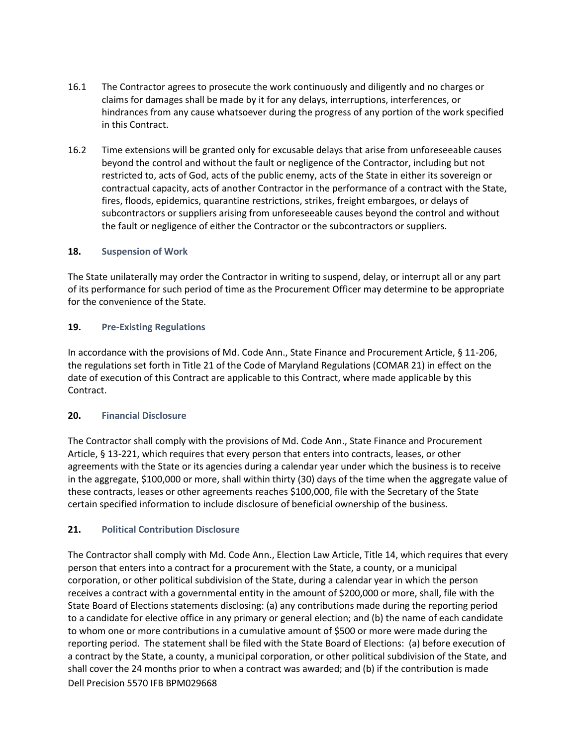- 16.1 The Contractor agrees to prosecute the work continuously and diligently and no charges or claims for damages shall be made by it for any delays, interruptions, interferences, or hindrances from any cause whatsoever during the progress of any portion of the work specified in this Contract.
- 16.2 Time extensions will be granted only for excusable delays that arise from unforeseeable causes beyond the control and without the fault or negligence of the Contractor, including but not restricted to, acts of God, acts of the public enemy, acts of the State in either its sovereign or contractual capacity, acts of another Contractor in the performance of a contract with the State, fires, floods, epidemics, quarantine restrictions, strikes, freight embargoes, or delays of subcontractors or suppliers arising from unforeseeable causes beyond the control and without the fault or negligence of either the Contractor or the subcontractors or suppliers.

## **18. Suspension of Work**

The State unilaterally may order the Contractor in writing to suspend, delay, or interrupt all or any part of its performance for such period of time as the Procurement Officer may determine to be appropriate for the convenience of the State.

## **19. Pre-Existing Regulations**

In accordance with the provisions of Md. Code Ann., State Finance and Procurement Article, § 11-206, the regulations set forth in Title 21 of the Code of Maryland Regulations (COMAR 21) in effect on the date of execution of this Contract are applicable to this Contract, where made applicable by this Contract.

#### **20. Financial Disclosure**

The Contractor shall comply with the provisions of Md. Code Ann., State Finance and Procurement Article, § 13-221, which requires that every person that enters into contracts, leases, or other agreements with the State or its agencies during a calendar year under which the business is to receive in the aggregate, \$100,000 or more, shall within thirty (30) days of the time when the aggregate value of these contracts, leases or other agreements reaches \$100,000, file with the Secretary of the State certain specified information to include disclosure of beneficial ownership of the business.

#### **21. Political Contribution Disclosure**

Dell Precision 5570 IFB BPM029668 The Contractor shall comply with Md. Code Ann., Election Law Article, Title 14, which requires that every person that enters into a contract for a procurement with the State, a county, or a municipal corporation, or other political subdivision of the State, during a calendar year in which the person receives a contract with a governmental entity in the amount of \$200,000 or more, shall, file with the State Board of Elections statements disclosing: (a) any contributions made during the reporting period to a candidate for elective office in any primary or general election; and (b) the name of each candidate to whom one or more contributions in a cumulative amount of \$500 or more were made during the reporting period. The statement shall be filed with the State Board of Elections: (a) before execution of a contract by the State, a county, a municipal corporation, or other political subdivision of the State, and shall cover the 24 months prior to when a contract was awarded; and (b) if the contribution is made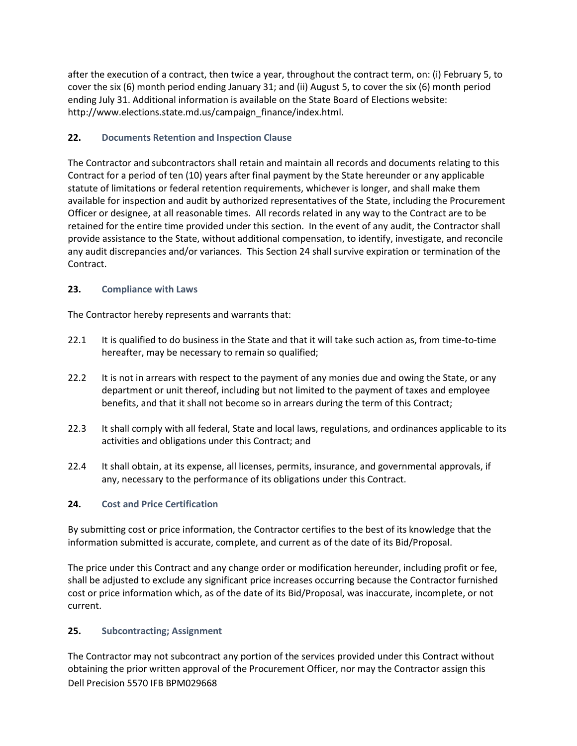after the execution of a contract, then twice a year, throughout the contract term, on: (i) February 5, to cover the six (6) month period ending January 31; and (ii) August 5, to cover the six (6) month period ending July 31. Additional information is available on the State Board of Elections website: http://www.elections.state.md.us/campaign\_finance/index.html.

## **22. Documents Retention and Inspection Clause**

The Contractor and subcontractors shall retain and maintain all records and documents relating to this Contract for a period of ten (10) years after final payment by the State hereunder or any applicable statute of limitations or federal retention requirements, whichever is longer, and shall make them available for inspection and audit by authorized representatives of the State, including the Procurement Officer or designee, at all reasonable times. All records related in any way to the Contract are to be retained for the entire time provided under this section. In the event of any audit, the Contractor shall provide assistance to the State, without additional compensation, to identify, investigate, and reconcile any audit discrepancies and/or variances. This Section 24 shall survive expiration or termination of the Contract.

## **23. Compliance with Laws**

The Contractor hereby represents and warrants that:

- 22.1 It is qualified to do business in the State and that it will take such action as, from time-to-time hereafter, may be necessary to remain so qualified;
- 22.2 It is not in arrears with respect to the payment of any monies due and owing the State, or any department or unit thereof, including but not limited to the payment of taxes and employee benefits, and that it shall not become so in arrears during the term of this Contract;
- 22.3 It shall comply with all federal, State and local laws, regulations, and ordinances applicable to its activities and obligations under this Contract; and
- 22.4 It shall obtain, at its expense, all licenses, permits, insurance, and governmental approvals, if any, necessary to the performance of its obligations under this Contract.

## **24. Cost and Price Certification**

By submitting cost or price information, the Contractor certifies to the best of its knowledge that the information submitted is accurate, complete, and current as of the date of its Bid/Proposal.

The price under this Contract and any change order or modification hereunder, including profit or fee, shall be adjusted to exclude any significant price increases occurring because the Contractor furnished cost or price information which, as of the date of its Bid/Proposal, was inaccurate, incomplete, or not current.

## **25. Subcontracting; Assignment**

Dell Precision 5570 IFB BPM029668 The Contractor may not subcontract any portion of the services provided under this Contract without obtaining the prior written approval of the Procurement Officer, nor may the Contractor assign this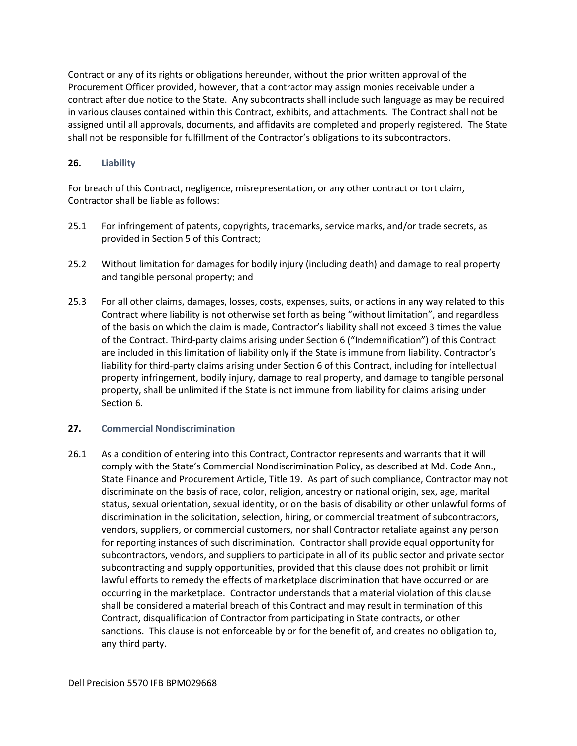Contract or any of its rights or obligations hereunder, without the prior written approval of the Procurement Officer provided, however, that a contractor may assign monies receivable under a contract after due notice to the State. Any subcontracts shall include such language as may be required in various clauses contained within this Contract, exhibits, and attachments. The Contract shall not be assigned until all approvals, documents, and affidavits are completed and properly registered. The State shall not be responsible for fulfillment of the Contractor's obligations to its subcontractors.

## **26. Liability**

For breach of this Contract, negligence, misrepresentation, or any other contract or tort claim, Contractor shall be liable as follows:

- 25.1 For infringement of patents, copyrights, trademarks, service marks, and/or trade secrets, as provided in Section 5 of this Contract;
- 25.2 Without limitation for damages for bodily injury (including death) and damage to real property and tangible personal property; and
- 25.3 For all other claims, damages, losses, costs, expenses, suits, or actions in any way related to this Contract where liability is not otherwise set forth as being "without limitation", and regardless of the basis on which the claim is made, Contractor's liability shall not exceed 3 times the value of the Contract. Third-party claims arising under Section 6 ("Indemnification") of this Contract are included in this limitation of liability only if the State is immune from liability. Contractor's liability for third-party claims arising under Section 6 of this Contract, including for intellectual property infringement, bodily injury, damage to real property, and damage to tangible personal property, shall be unlimited if the State is not immune from liability for claims arising under Section 6.

#### **27. Commercial Nondiscrimination**

26.1 As a condition of entering into this Contract, Contractor represents and warrants that it will comply with the State's Commercial Nondiscrimination Policy, as described at Md. Code Ann., State Finance and Procurement Article, Title 19. As part of such compliance, Contractor may not discriminate on the basis of race, color, religion, ancestry or national origin, sex, age, marital status, sexual orientation, sexual identity, or on the basis of disability or other unlawful forms of discrimination in the solicitation, selection, hiring, or commercial treatment of subcontractors, vendors, suppliers, or commercial customers, nor shall Contractor retaliate against any person for reporting instances of such discrimination. Contractor shall provide equal opportunity for subcontractors, vendors, and suppliers to participate in all of its public sector and private sector subcontracting and supply opportunities, provided that this clause does not prohibit or limit lawful efforts to remedy the effects of marketplace discrimination that have occurred or are occurring in the marketplace. Contractor understands that a material violation of this clause shall be considered a material breach of this Contract and may result in termination of this Contract, disqualification of Contractor from participating in State contracts, or other sanctions. This clause is not enforceable by or for the benefit of, and creates no obligation to, any third party.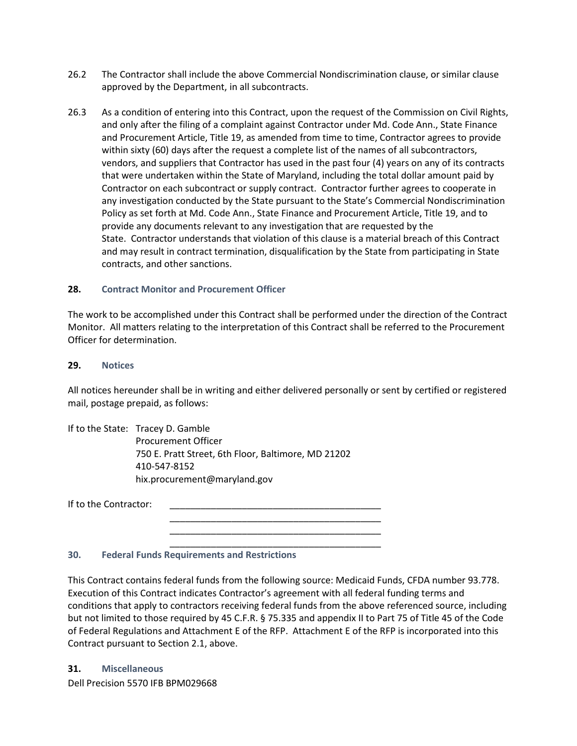- 26.2 The Contractor shall include the above Commercial Nondiscrimination clause, or similar clause approved by the Department, in all subcontracts.
- 26.3 As a condition of entering into this Contract, upon the request of the Commission on Civil Rights, and only after the filing of a complaint against Contractor under Md. Code Ann., State Finance and Procurement Article, Title 19, as amended from time to time, Contractor agrees to provide within sixty (60) days after the request a complete list of the names of all subcontractors, vendors, and suppliers that Contractor has used in the past four (4) years on any of its contracts that were undertaken within the State of Maryland, including the total dollar amount paid by Contractor on each subcontract or supply contract. Contractor further agrees to cooperate in any investigation conducted by the State pursuant to the State's Commercial Nondiscrimination Policy as set forth at Md. Code Ann., State Finance and Procurement Article, Title 19, and to provide any documents relevant to any investigation that are requested by the State. Contractor understands that violation of this clause is a material breach of this Contract and may result in contract termination, disqualification by the State from participating in State contracts, and other sanctions.

#### **28. Contract Monitor and Procurement Officer**

The work to be accomplished under this Contract shall be performed under the direction of the Contract Monitor. All matters relating to the interpretation of this Contract shall be referred to the Procurement Officer for determination.

#### **29. Notices**

All notices hereunder shall be in writing and either delivered personally or sent by certified or registered mail, postage prepaid, as follows:

If to the State: Tracey D. Gamble Procurement Officer 750 E. Pratt Street, 6th Floor, Baltimore, MD 21202 410-547-8152 hix.procurement@maryland.gov

If to the Contractor:

**30. Federal Funds Requirements and Restrictions**

This Contract contains federal funds from the following source: Medicaid Funds, CFDA number 93.778. Execution of this Contract indicates Contractor's agreement with all federal funding terms and conditions that apply to contractors receiving federal funds from the above referenced source, including but not limited to those required by 45 C.F.R. § 75.335 and appendix II to Part 75 of Title 45 of the Code of Federal Regulations and Attachment E of the RFP. Attachment E of the RFP is incorporated into this Contract pursuant to Section 2.1, above.

\_\_\_\_\_\_\_\_\_\_\_\_\_\_\_\_\_\_\_\_\_\_\_\_\_\_\_\_\_\_\_\_\_\_\_\_\_\_\_\_\_ \_\_\_\_\_\_\_\_\_\_\_\_\_\_\_\_\_\_\_\_\_\_\_\_\_\_\_\_\_\_\_\_\_\_\_\_\_\_\_\_\_ \_\_\_\_\_\_\_\_\_\_\_\_\_\_\_\_\_\_\_\_\_\_\_\_\_\_\_\_\_\_\_\_\_\_\_\_\_\_\_\_\_

**31. Miscellaneous**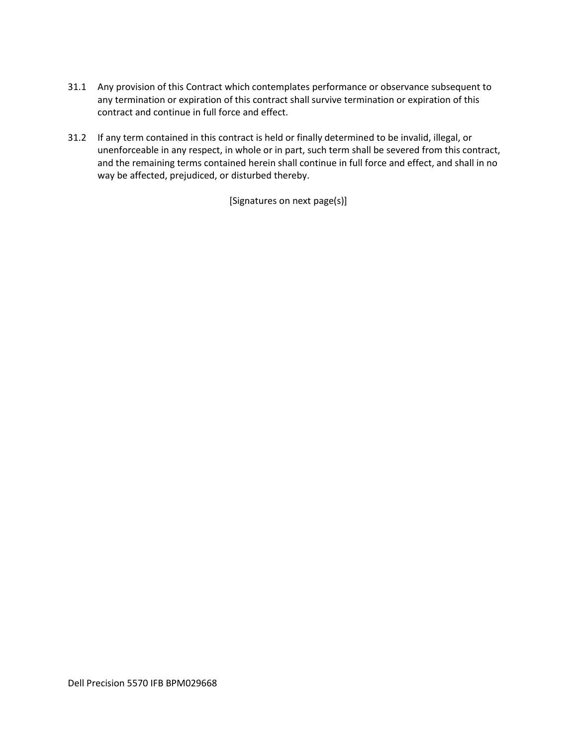- 31.1 Any provision of this Contract which contemplates performance or observance subsequent to any termination or expiration of this contract shall survive termination or expiration of this contract and continue in full force and effect.
- 31.2 If any term contained in this contract is held or finally determined to be invalid, illegal, or unenforceable in any respect, in whole or in part, such term shall be severed from this contract, and the remaining terms contained herein shall continue in full force and effect, and shall in no way be affected, prejudiced, or disturbed thereby.

[Signatures on next page(s)]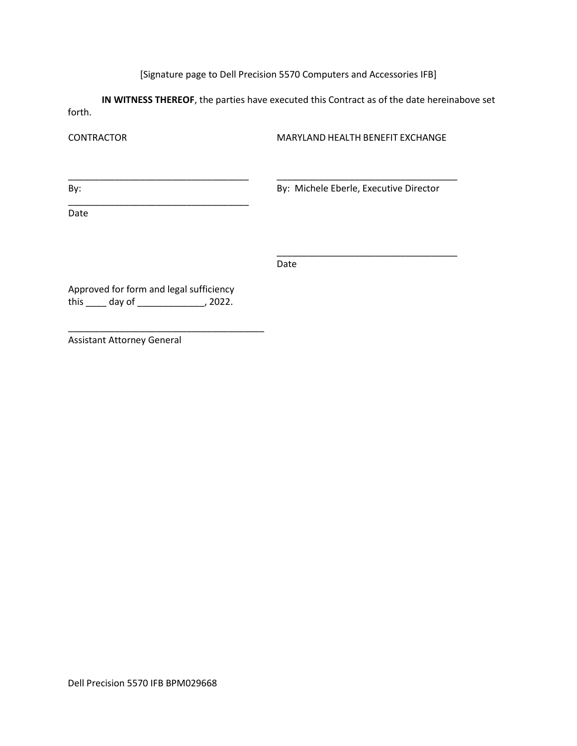#### [Signature page to Dell Precision 5570 Computers and Accessories IFB]

**IN WITNESS THEREOF**, the parties have executed this Contract as of the date hereinabove set forth.

Date

#### CONTRACTOR GOTHER MARYLAND HEALTH BENEFIT EXCHANGE

\_\_\_\_\_\_\_\_\_\_\_\_\_\_\_\_\_\_\_\_\_\_\_\_\_\_\_\_\_\_\_\_\_\_\_ \_\_\_\_\_\_\_\_\_\_\_\_\_\_\_\_\_\_\_\_\_\_\_\_\_\_\_\_\_\_\_\_\_\_\_ By: Michele Eberle, Executive Director

\_\_\_\_\_\_\_\_\_\_\_\_\_\_\_\_\_\_\_\_\_\_\_\_\_\_\_\_\_\_\_\_\_\_\_

\_\_\_\_\_\_\_\_\_\_\_\_\_\_\_\_\_\_\_\_\_\_\_\_\_\_\_\_\_\_\_\_\_\_\_ Date

Approved for form and legal sufficiency this \_\_\_\_ day of \_\_\_\_\_\_\_\_\_\_\_\_\_, 2022.

\_\_\_\_\_\_\_\_\_\_\_\_\_\_\_\_\_\_\_\_\_\_\_\_\_\_\_\_\_\_\_\_\_\_\_\_\_\_

Assistant Attorney General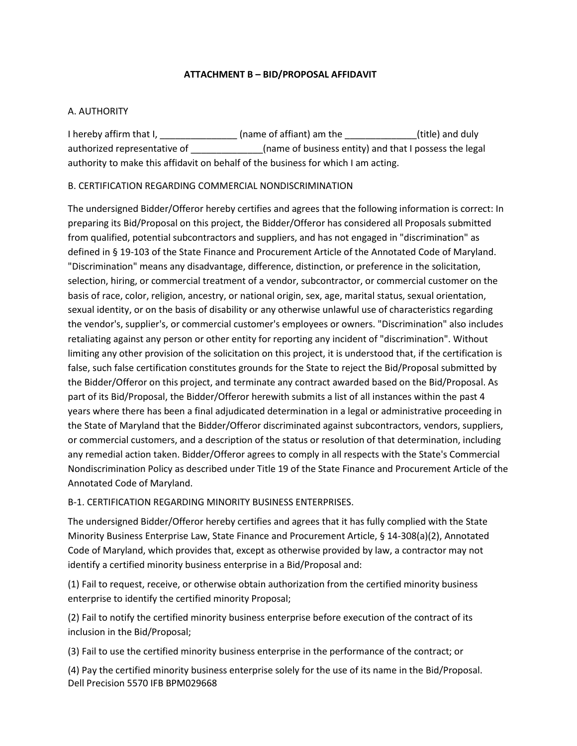## **ATTACHMENT B – BID/PROPOSAL AFFIDAVIT**

### <span id="page-30-0"></span>A. AUTHORITY

I hereby affirm that I, \_\_\_\_\_\_\_\_\_\_\_\_\_\_\_\_\_\_(name of affiant) am the \_\_\_\_\_\_\_\_\_\_\_\_\_\_(title) and duly authorized representative of \_\_\_\_\_\_\_\_\_\_\_\_\_\_\_\_(name of business entity) and that I possess the legal authority to make this affidavit on behalf of the business for which I am acting.

## B. CERTIFICATION REGARDING COMMERCIAL NONDISCRIMINATION

The undersigned Bidder/Offeror hereby certifies and agrees that the following information is correct: In preparing its Bid/Proposal on this project, the Bidder/Offeror has considered all Proposals submitted from qualified, potential subcontractors and suppliers, and has not engaged in "discrimination" as defined in § 19-103 of the State Finance and Procurement Article of the Annotated Code of Maryland. "Discrimination" means any disadvantage, difference, distinction, or preference in the solicitation, selection, hiring, or commercial treatment of a vendor, subcontractor, or commercial customer on the basis of race, color, religion, ancestry, or national origin, sex, age, marital status, sexual orientation, sexual identity, or on the basis of disability or any otherwise unlawful use of characteristics regarding the vendor's, supplier's, or commercial customer's employees or owners. "Discrimination" also includes retaliating against any person or other entity for reporting any incident of "discrimination". Without limiting any other provision of the solicitation on this project, it is understood that, if the certification is false, such false certification constitutes grounds for the State to reject the Bid/Proposal submitted by the Bidder/Offeror on this project, and terminate any contract awarded based on the Bid/Proposal. As part of its Bid/Proposal, the Bidder/Offeror herewith submits a list of all instances within the past 4 years where there has been a final adjudicated determination in a legal or administrative proceeding in the State of Maryland that the Bidder/Offeror discriminated against subcontractors, vendors, suppliers, or commercial customers, and a description of the status or resolution of that determination, including any remedial action taken. Bidder/Offeror agrees to comply in all respects with the State's Commercial Nondiscrimination Policy as described under Title 19 of the State Finance and Procurement Article of the Annotated Code of Maryland.

#### B-1. CERTIFICATION REGARDING MINORITY BUSINESS ENTERPRISES.

The undersigned Bidder/Offeror hereby certifies and agrees that it has fully complied with the State Minority Business Enterprise Law, State Finance and Procurement Article, § 14-308(a)(2), Annotated Code of Maryland, which provides that, except as otherwise provided by law, a contractor may not identify a certified minority business enterprise in a Bid/Proposal and:

(1) Fail to request, receive, or otherwise obtain authorization from the certified minority business enterprise to identify the certified minority Proposal;

(2) Fail to notify the certified minority business enterprise before execution of the contract of its inclusion in the Bid/Proposal;

(3) Fail to use the certified minority business enterprise in the performance of the contract; or

Dell Precision 5570 IFB BPM029668 (4) Pay the certified minority business enterprise solely for the use of its name in the Bid/Proposal.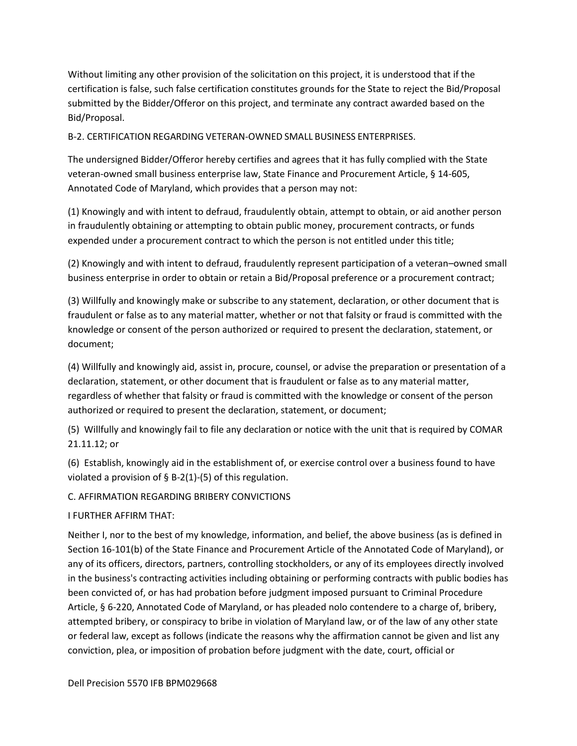Without limiting any other provision of the solicitation on this project, it is understood that if the certification is false, such false certification constitutes grounds for the State to reject the Bid/Proposal submitted by the Bidder/Offeror on this project, and terminate any contract awarded based on the Bid/Proposal.

B-2. CERTIFICATION REGARDING VETERAN-OWNED SMALL BUSINESS ENTERPRISES.

The undersigned Bidder/Offeror hereby certifies and agrees that it has fully complied with the State veteran-owned small business enterprise law, State Finance and Procurement Article, § 14-605, Annotated Code of Maryland, which provides that a person may not:

(1) Knowingly and with intent to defraud, fraudulently obtain, attempt to obtain, or aid another person in fraudulently obtaining or attempting to obtain public money, procurement contracts, or funds expended under a procurement contract to which the person is not entitled under this title;

(2) Knowingly and with intent to defraud, fraudulently represent participation of a veteran–owned small business enterprise in order to obtain or retain a Bid/Proposal preference or a procurement contract;

(3) Willfully and knowingly make or subscribe to any statement, declaration, or other document that is fraudulent or false as to any material matter, whether or not that falsity or fraud is committed with the knowledge or consent of the person authorized or required to present the declaration, statement, or document;

(4) Willfully and knowingly aid, assist in, procure, counsel, or advise the preparation or presentation of a declaration, statement, or other document that is fraudulent or false as to any material matter, regardless of whether that falsity or fraud is committed with the knowledge or consent of the person authorized or required to present the declaration, statement, or document;

(5) Willfully and knowingly fail to file any declaration or notice with the unit that is required by COMAR 21.11.12; or

(6) Establish, knowingly aid in the establishment of, or exercise control over a business found to have violated a provision of  $\S$  B-2(1)-(5) of this regulation.

## C. AFFIRMATION REGARDING BRIBERY CONVICTIONS

## I FURTHER AFFIRM THAT:

Neither I, nor to the best of my knowledge, information, and belief, the above business (as is defined in Section 16-101(b) of the State Finance and Procurement Article of the Annotated Code of Maryland), or any of its officers, directors, partners, controlling stockholders, or any of its employees directly involved in the business's contracting activities including obtaining or performing contracts with public bodies has been convicted of, or has had probation before judgment imposed pursuant to Criminal Procedure Article, § 6-220, Annotated Code of Maryland, or has pleaded nolo contendere to a charge of, bribery, attempted bribery, or conspiracy to bribe in violation of Maryland law, or of the law of any other state or federal law, except as follows (indicate the reasons why the affirmation cannot be given and list any conviction, plea, or imposition of probation before judgment with the date, court, official or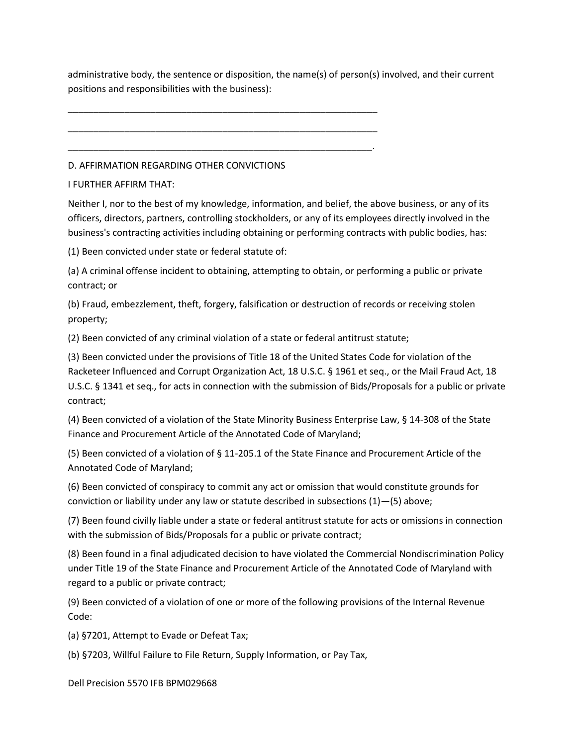administrative body, the sentence or disposition, the name(s) of person(s) involved, and their current positions and responsibilities with the business):

D. AFFIRMATION REGARDING OTHER CONVICTIONS

\_\_\_\_\_\_\_\_\_\_\_\_\_\_\_\_\_\_\_\_\_\_\_\_\_\_\_\_\_\_\_\_\_\_\_\_\_\_\_\_\_\_\_\_\_\_\_\_\_\_\_\_\_\_\_\_\_\_\_\_

\_\_\_\_\_\_\_\_\_\_\_\_\_\_\_\_\_\_\_\_\_\_\_\_\_\_\_\_\_\_\_\_\_\_\_\_\_\_\_\_\_\_\_\_\_\_\_\_\_\_\_\_\_\_\_\_\_\_\_\_

\_\_\_\_\_\_\_\_\_\_\_\_\_\_\_\_\_\_\_\_\_\_\_\_\_\_\_\_\_\_\_\_\_\_\_\_\_\_\_\_\_\_\_\_\_\_\_\_\_\_\_\_\_\_\_\_\_\_\_.

I FURTHER AFFIRM THAT:

Neither I, nor to the best of my knowledge, information, and belief, the above business, or any of its officers, directors, partners, controlling stockholders, or any of its employees directly involved in the business's contracting activities including obtaining or performing contracts with public bodies, has:

(1) Been convicted under state or federal statute of:

(a) A criminal offense incident to obtaining, attempting to obtain, or performing a public or private contract; or

(b) Fraud, embezzlement, theft, forgery, falsification or destruction of records or receiving stolen property;

(2) Been convicted of any criminal violation of a state or federal antitrust statute;

(3) Been convicted under the provisions of Title 18 of the United States Code for violation of the Racketeer Influenced and Corrupt Organization Act, 18 U.S.C. § 1961 et seq., or the Mail Fraud Act, 18 U.S.C. § 1341 et seq., for acts in connection with the submission of Bids/Proposals for a public or private contract;

(4) Been convicted of a violation of the State Minority Business Enterprise Law, § 14-308 of the State Finance and Procurement Article of the Annotated Code of Maryland;

(5) Been convicted of a violation of § 11-205.1 of the State Finance and Procurement Article of the Annotated Code of Maryland;

(6) Been convicted of conspiracy to commit any act or omission that would constitute grounds for conviction or liability under any law or statute described in subsections (1)—(5) above;

(7) Been found civilly liable under a state or federal antitrust statute for acts or omissions in connection with the submission of Bids/Proposals for a public or private contract;

(8) Been found in a final adjudicated decision to have violated the Commercial Nondiscrimination Policy under Title 19 of the State Finance and Procurement Article of the Annotated Code of Maryland with regard to a public or private contract;

(9) Been convicted of a violation of one or more of the following provisions of the Internal Revenue Code:

(a) §7201, Attempt to Evade or Defeat Tax;

(b) §7203, Willful Failure to File Return, Supply Information, or Pay Tax,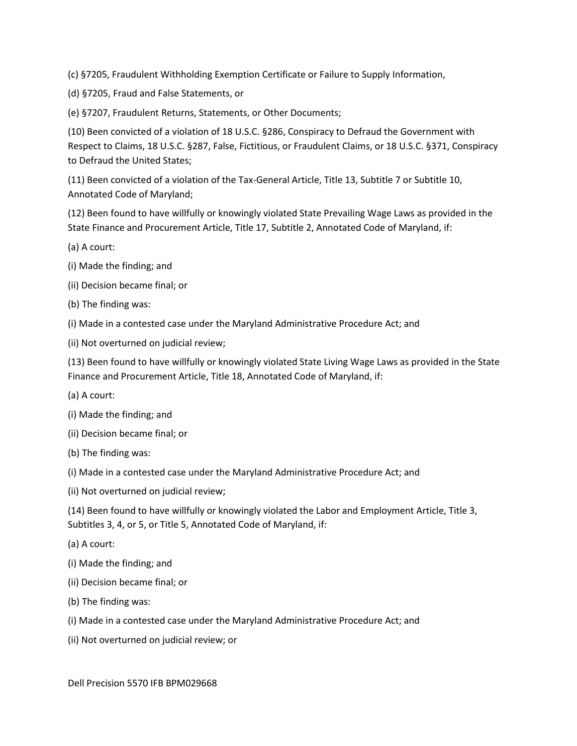(c) §7205, Fraudulent Withholding Exemption Certificate or Failure to Supply Information,

(d) §7205, Fraud and False Statements, or

(e) §7207, Fraudulent Returns, Statements, or Other Documents;

(10) Been convicted of a violation of 18 U.S.C. §286, Conspiracy to Defraud the Government with Respect to Claims, 18 U.S.C. §287, False, Fictitious, or Fraudulent Claims, or 18 U.S.C. §371, Conspiracy to Defraud the United States;

(11) Been convicted of a violation of the Tax-General Article, Title 13, Subtitle 7 or Subtitle 10, Annotated Code of Maryland;

(12) Been found to have willfully or knowingly violated State Prevailing Wage Laws as provided in the State Finance and Procurement Article, Title 17, Subtitle 2, Annotated Code of Maryland, if:

- (a) A court:
- (i) Made the finding; and
- (ii) Decision became final; or
- (b) The finding was:
- (i) Made in a contested case under the Maryland Administrative Procedure Act; and
- (ii) Not overturned on judicial review;

(13) Been found to have willfully or knowingly violated State Living Wage Laws as provided in the State Finance and Procurement Article, Title 18, Annotated Code of Maryland, if:

- (a) A court:
- (i) Made the finding; and
- (ii) Decision became final; or
- (b) The finding was:
- (i) Made in a contested case under the Maryland Administrative Procedure Act; and
- (ii) Not overturned on judicial review;

(14) Been found to have willfully or knowingly violated the Labor and Employment Article, Title 3, Subtitles 3, 4, or 5, or Title 5, Annotated Code of Maryland, if:

- (a) A court:
- (i) Made the finding; and
- (ii) Decision became final; or
- (b) The finding was:
- (i) Made in a contested case under the Maryland Administrative Procedure Act; and
- (ii) Not overturned on judicial review; or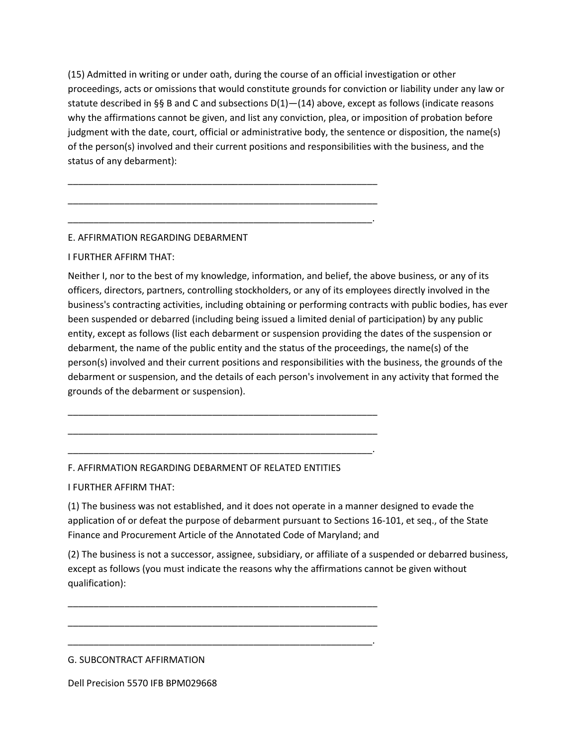(15) Admitted in writing or under oath, during the course of an official investigation or other proceedings, acts or omissions that would constitute grounds for conviction or liability under any law or statute described in §§ B and C and subsections  $D(1)$ — $(14)$  above, except as follows (indicate reasons why the affirmations cannot be given, and list any conviction, plea, or imposition of probation before judgment with the date, court, official or administrative body, the sentence or disposition, the name(s) of the person(s) involved and their current positions and responsibilities with the business, and the status of any debarment):

\_\_\_\_\_\_\_\_\_\_\_\_\_\_\_\_\_\_\_\_\_\_\_\_\_\_\_\_\_\_\_\_\_\_\_\_\_\_\_\_\_\_\_\_\_\_\_\_\_\_\_\_\_\_\_\_\_\_\_\_

\_\_\_\_\_\_\_\_\_\_\_\_\_\_\_\_\_\_\_\_\_\_\_\_\_\_\_\_\_\_\_\_\_\_\_\_\_\_\_\_\_\_\_\_\_\_\_\_\_\_\_\_\_\_\_\_\_\_\_\_

\_\_\_\_\_\_\_\_\_\_\_\_\_\_\_\_\_\_\_\_\_\_\_\_\_\_\_\_\_\_\_\_\_\_\_\_\_\_\_\_\_\_\_\_\_\_\_\_\_\_\_\_\_\_\_\_\_\_\_.

## E. AFFIRMATION REGARDING DEBARMENT

#### I FURTHER AFFIRM THAT:

Neither I, nor to the best of my knowledge, information, and belief, the above business, or any of its officers, directors, partners, controlling stockholders, or any of its employees directly involved in the business's contracting activities, including obtaining or performing contracts with public bodies, has ever been suspended or debarred (including being issued a limited denial of participation) by any public entity, except as follows (list each debarment or suspension providing the dates of the suspension or debarment, the name of the public entity and the status of the proceedings, the name(s) of the person(s) involved and their current positions and responsibilities with the business, the grounds of the debarment or suspension, and the details of each person's involvement in any activity that formed the grounds of the debarment or suspension).

#### F. AFFIRMATION REGARDING DEBARMENT OF RELATED ENTITIES

\_\_\_\_\_\_\_\_\_\_\_\_\_\_\_\_\_\_\_\_\_\_\_\_\_\_\_\_\_\_\_\_\_\_\_\_\_\_\_\_\_\_\_\_\_\_\_\_\_\_\_\_\_\_\_\_\_\_\_\_

\_\_\_\_\_\_\_\_\_\_\_\_\_\_\_\_\_\_\_\_\_\_\_\_\_\_\_\_\_\_\_\_\_\_\_\_\_\_\_\_\_\_\_\_\_\_\_\_\_\_\_\_\_\_\_\_\_\_\_\_

\_\_\_\_\_\_\_\_\_\_\_\_\_\_\_\_\_\_\_\_\_\_\_\_\_\_\_\_\_\_\_\_\_\_\_\_\_\_\_\_\_\_\_\_\_\_\_\_\_\_\_\_\_\_\_\_\_\_\_.

\_\_\_\_\_\_\_\_\_\_\_\_\_\_\_\_\_\_\_\_\_\_\_\_\_\_\_\_\_\_\_\_\_\_\_\_\_\_\_\_\_\_\_\_\_\_\_\_\_\_\_\_\_\_\_\_\_\_\_\_

\_\_\_\_\_\_\_\_\_\_\_\_\_\_\_\_\_\_\_\_\_\_\_\_\_\_\_\_\_\_\_\_\_\_\_\_\_\_\_\_\_\_\_\_\_\_\_\_\_\_\_\_\_\_\_\_\_\_\_\_

\_\_\_\_\_\_\_\_\_\_\_\_\_\_\_\_\_\_\_\_\_\_\_\_\_\_\_\_\_\_\_\_\_\_\_\_\_\_\_\_\_\_\_\_\_\_\_\_\_\_\_\_\_\_\_\_\_\_\_.

I FURTHER AFFIRM THAT:

(1) The business was not established, and it does not operate in a manner designed to evade the application of or defeat the purpose of debarment pursuant to Sections 16-101, et seq., of the State Finance and Procurement Article of the Annotated Code of Maryland; and

(2) The business is not a successor, assignee, subsidiary, or affiliate of a suspended or debarred business, except as follows (you must indicate the reasons why the affirmations cannot be given without qualification):

#### G. SUBCONTRACT AFFIRMATION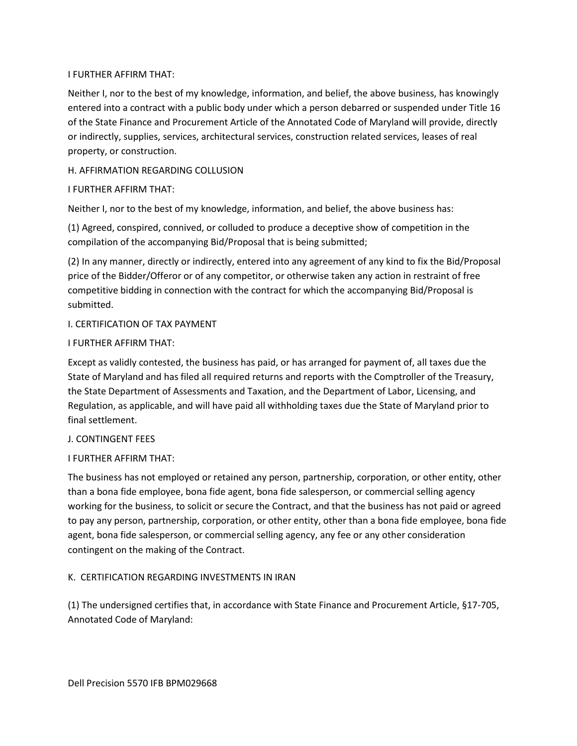### I FURTHER AFFIRM THAT:

Neither I, nor to the best of my knowledge, information, and belief, the above business, has knowingly entered into a contract with a public body under which a person debarred or suspended under Title 16 of the State Finance and Procurement Article of the Annotated Code of Maryland will provide, directly or indirectly, supplies, services, architectural services, construction related services, leases of real property, or construction.

## H. AFFIRMATION REGARDING COLLUSION

## I FURTHER AFFIRM THAT:

Neither I, nor to the best of my knowledge, information, and belief, the above business has:

(1) Agreed, conspired, connived, or colluded to produce a deceptive show of competition in the compilation of the accompanying Bid/Proposal that is being submitted;

(2) In any manner, directly or indirectly, entered into any agreement of any kind to fix the Bid/Proposal price of the Bidder/Offeror or of any competitor, or otherwise taken any action in restraint of free competitive bidding in connection with the contract for which the accompanying Bid/Proposal is submitted.

## I. CERTIFICATION OF TAX PAYMENT

#### I FURTHER AFFIRM THAT:

Except as validly contested, the business has paid, or has arranged for payment of, all taxes due the State of Maryland and has filed all required returns and reports with the Comptroller of the Treasury, the State Department of Assessments and Taxation, and the Department of Labor, Licensing, and Regulation, as applicable, and will have paid all withholding taxes due the State of Maryland prior to final settlement.

#### J. CONTINGENT FEES

## I FURTHER AFFIRM THAT:

The business has not employed or retained any person, partnership, corporation, or other entity, other than a bona fide employee, bona fide agent, bona fide salesperson, or commercial selling agency working for the business, to solicit or secure the Contract, and that the business has not paid or agreed to pay any person, partnership, corporation, or other entity, other than a bona fide employee, bona fide agent, bona fide salesperson, or commercial selling agency, any fee or any other consideration contingent on the making of the Contract.

## K. CERTIFICATION REGARDING INVESTMENTS IN IRAN

(1) The undersigned certifies that, in accordance with State Finance and Procurement Article, §17-705, Annotated Code of Maryland: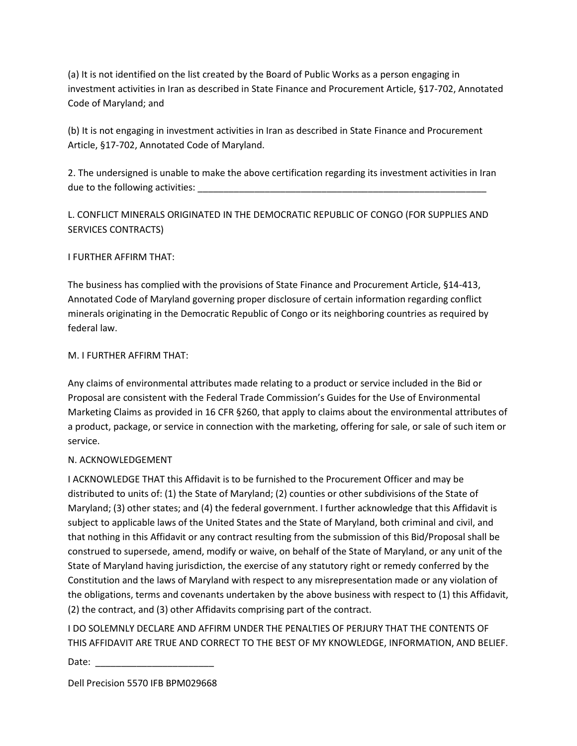(a) It is not identified on the list created by the Board of Public Works as a person engaging in investment activities in Iran as described in State Finance and Procurement Article, §17-702, Annotated Code of Maryland; and

(b) It is not engaging in investment activities in Iran as described in State Finance and Procurement Article, §17-702, Annotated Code of Maryland.

2. The undersigned is unable to make the above certification regarding its investment activities in Iran due to the following activities:

L. CONFLICT MINERALS ORIGINATED IN THE DEMOCRATIC REPUBLIC OF CONGO (FOR SUPPLIES AND SERVICES CONTRACTS)

## I FURTHER AFFIRM THAT:

The business has complied with the provisions of State Finance and Procurement Article, §14-413, Annotated Code of Maryland governing proper disclosure of certain information regarding conflict minerals originating in the Democratic Republic of Congo or its neighboring countries as required by federal law.

## M. I FURTHER AFFIRM THAT:

Any claims of environmental attributes made relating to a product or service included in the Bid or Proposal are consistent with the Federal Trade Commission's Guides for the Use of Environmental Marketing Claims as provided in 16 CFR §260, that apply to claims about the environmental attributes of a product, package, or service in connection with the marketing, offering for sale, or sale of such item or service.

## N. ACKNOWLEDGEMENT

I ACKNOWLEDGE THAT this Affidavit is to be furnished to the Procurement Officer and may be distributed to units of: (1) the State of Maryland; (2) counties or other subdivisions of the State of Maryland; (3) other states; and (4) the federal government. I further acknowledge that this Affidavit is subject to applicable laws of the United States and the State of Maryland, both criminal and civil, and that nothing in this Affidavit or any contract resulting from the submission of this Bid/Proposal shall be construed to supersede, amend, modify or waive, on behalf of the State of Maryland, or any unit of the State of Maryland having jurisdiction, the exercise of any statutory right or remedy conferred by the Constitution and the laws of Maryland with respect to any misrepresentation made or any violation of the obligations, terms and covenants undertaken by the above business with respect to (1) this Affidavit, (2) the contract, and (3) other Affidavits comprising part of the contract.

I DO SOLEMNLY DECLARE AND AFFIRM UNDER THE PENALTIES OF PERJURY THAT THE CONTENTS OF THIS AFFIDAVIT ARE TRUE AND CORRECT TO THE BEST OF MY KNOWLEDGE, INFORMATION, AND BELIEF.

Date: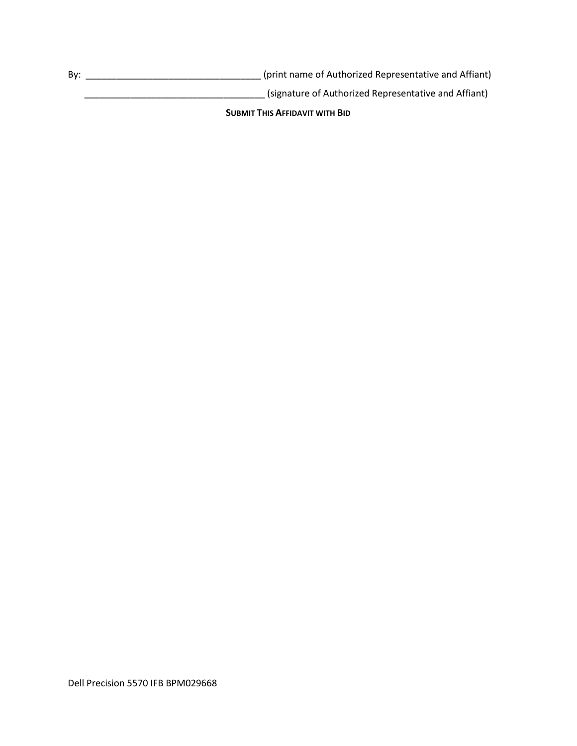By: \_\_\_\_\_\_\_\_\_\_\_\_\_\_\_\_\_\_\_\_\_\_\_\_\_\_\_\_\_\_\_\_\_\_ (print name of Authorized Representative and Affiant)

\_\_\_\_\_\_\_\_\_\_\_\_\_\_\_\_\_\_\_\_\_\_\_\_\_\_\_\_\_\_\_\_\_\_\_ (signature of Authorized Representative and Affiant)

**SUBMIT THIS AFFIDAVIT WITH BID**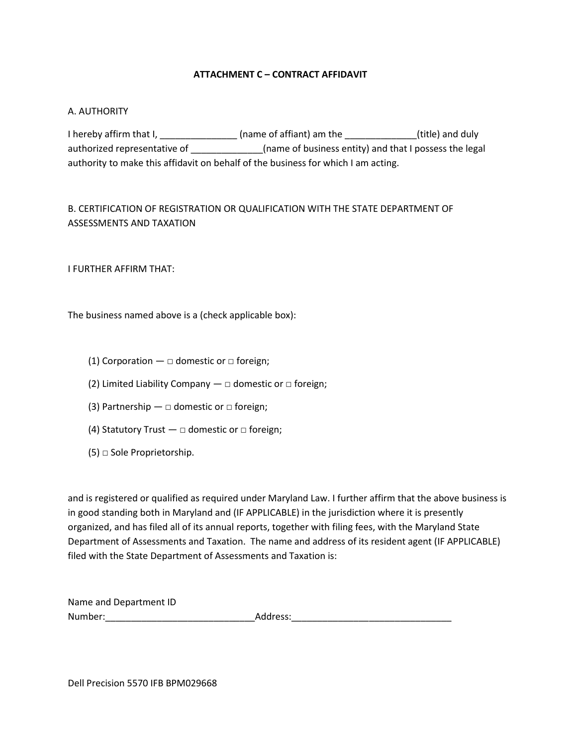## **ATTACHMENT C – CONTRACT AFFIDAVIT**

#### <span id="page-38-0"></span>A. AUTHORITY

I hereby affirm that I, \_\_\_\_\_\_\_\_\_\_\_\_\_\_\_\_\_(name of affiant) am the \_\_\_\_\_\_\_\_\_\_\_\_\_\_(title) and duly authorized representative of \_\_\_\_\_\_\_\_\_\_\_\_\_(name of business entity) and that I possess the legal authority to make this affidavit on behalf of the business for which I am acting.

# B. CERTIFICATION OF REGISTRATION OR QUALIFICATION WITH THE STATE DEPARTMENT OF ASSESSMENTS AND TAXATION

I FURTHER AFFIRM THAT:

The business named above is a (check applicable box):

- (1) Corporation  $\Box$  domestic or  $\Box$  foreign;
- (2) Limited Liability Company  $-\Box$  domestic or  $\Box$  foreign;
- (3) Partnership  $\Box$  domestic or  $\Box$  foreign;
- (4) Statutory Trust  $\Box$  domestic or  $\Box$  foreign;
- $(5)$   $\Box$  Sole Proprietorship.

and is registered or qualified as required under Maryland Law. I further affirm that the above business is in good standing both in Maryland and (IF APPLICABLE) in the jurisdiction where it is presently organized, and has filed all of its annual reports, together with filing fees, with the Maryland State Department of Assessments and Taxation. The name and address of its resident agent (IF APPLICABLE) filed with the State Department of Assessments and Taxation is:

| Name and Department ID |          |
|------------------------|----------|
| Number:                | Address: |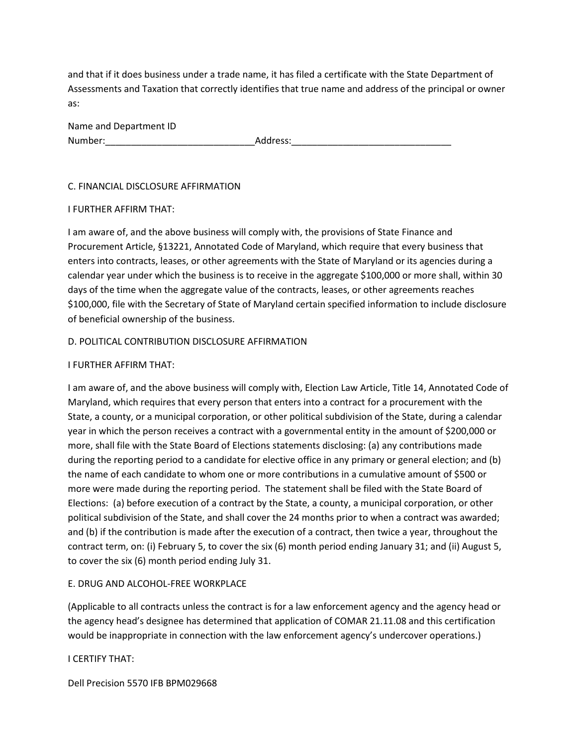and that if it does business under a trade name, it has filed a certificate with the State Department of Assessments and Taxation that correctly identifies that true name and address of the principal or owner as:

| Name and Department ID |          |
|------------------------|----------|
| Number:                | Address: |

#### C. FINANCIAL DISCLOSURE AFFIRMATION

#### I FURTHER AFFIRM THAT:

I am aware of, and the above business will comply with, the provisions of State Finance and Procurement Article, §13221, Annotated Code of Maryland, which require that every business that enters into contracts, leases, or other agreements with the State of Maryland or its agencies during a calendar year under which the business is to receive in the aggregate \$100,000 or more shall, within 30 days of the time when the aggregate value of the contracts, leases, or other agreements reaches \$100,000, file with the Secretary of State of Maryland certain specified information to include disclosure of beneficial ownership of the business.

#### D. POLITICAL CONTRIBUTION DISCLOSURE AFFIRMATION

#### I FURTHER AFFIRM THAT:

I am aware of, and the above business will comply with, Election Law Article, Title 14, Annotated Code of Maryland, which requires that every person that enters into a contract for a procurement with the State, a county, or a municipal corporation, or other political subdivision of the State, during a calendar year in which the person receives a contract with a governmental entity in the amount of \$200,000 or more, shall file with the State Board of Elections statements disclosing: (a) any contributions made during the reporting period to a candidate for elective office in any primary or general election; and (b) the name of each candidate to whom one or more contributions in a cumulative amount of \$500 or more were made during the reporting period. The statement shall be filed with the State Board of Elections: (a) before execution of a contract by the State, a county, a municipal corporation, or other political subdivision of the State, and shall cover the 24 months prior to when a contract was awarded; and (b) if the contribution is made after the execution of a contract, then twice a year, throughout the contract term, on: (i) February 5, to cover the six (6) month period ending January 31; and (ii) August 5, to cover the six (6) month period ending July 31.

#### E. DRUG AND ALCOHOL-FREE WORKPLACE

(Applicable to all contracts unless the contract is for a law enforcement agency and the agency head or the agency head's designee has determined that application of COMAR 21.11.08 and this certification would be inappropriate in connection with the law enforcement agency's undercover operations.)

#### I CERTIFY THAT: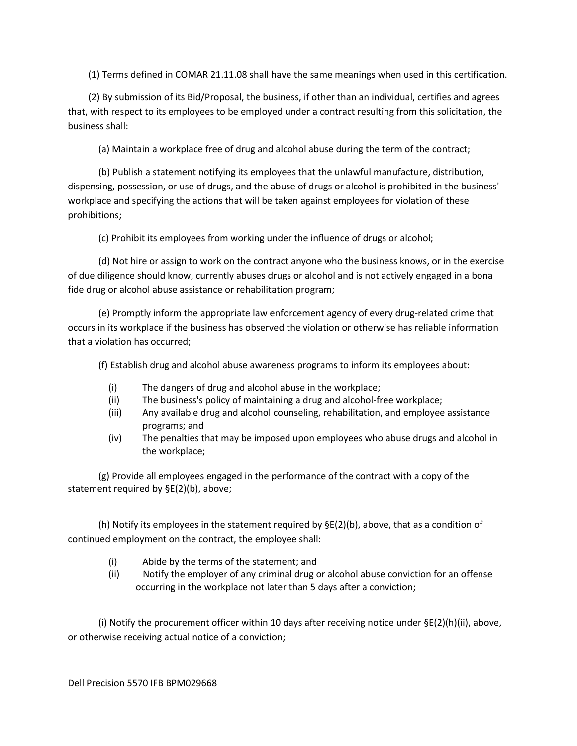(1) Terms defined in COMAR 21.11.08 shall have the same meanings when used in this certification.

(2) By submission of its Bid/Proposal, the business, if other than an individual, certifies and agrees that, with respect to its employees to be employed under a contract resulting from this solicitation, the business shall:

(a) Maintain a workplace free of drug and alcohol abuse during the term of the contract;

(b) Publish a statement notifying its employees that the unlawful manufacture, distribution, dispensing, possession, or use of drugs, and the abuse of drugs or alcohol is prohibited in the business' workplace and specifying the actions that will be taken against employees for violation of these prohibitions;

(c) Prohibit its employees from working under the influence of drugs or alcohol;

(d) Not hire or assign to work on the contract anyone who the business knows, or in the exercise of due diligence should know, currently abuses drugs or alcohol and is not actively engaged in a bona fide drug or alcohol abuse assistance or rehabilitation program;

(e) Promptly inform the appropriate law enforcement agency of every drug-related crime that occurs in its workplace if the business has observed the violation or otherwise has reliable information that a violation has occurred;

(f) Establish drug and alcohol abuse awareness programs to inform its employees about:

- (i) The dangers of drug and alcohol abuse in the workplace;
- (ii) The business's policy of maintaining a drug and alcohol-free workplace;
- (iii) Any available drug and alcohol counseling, rehabilitation, and employee assistance programs; and
- (iv) The penalties that may be imposed upon employees who abuse drugs and alcohol in the workplace;

(g) Provide all employees engaged in the performance of the contract with a copy of the statement required by §E(2)(b), above;

(h) Notify its employees in the statement required by  $\Sigma(2)$ (b), above, that as a condition of continued employment on the contract, the employee shall:

- (i) Abide by the terms of the statement; and
- (ii) Notify the employer of any criminal drug or alcohol abuse conviction for an offense occurring in the workplace not later than 5 days after a conviction;

(i) Notify the procurement officer within 10 days after receiving notice under  $\Sigma(2)(h)(ii)$ , above, or otherwise receiving actual notice of a conviction;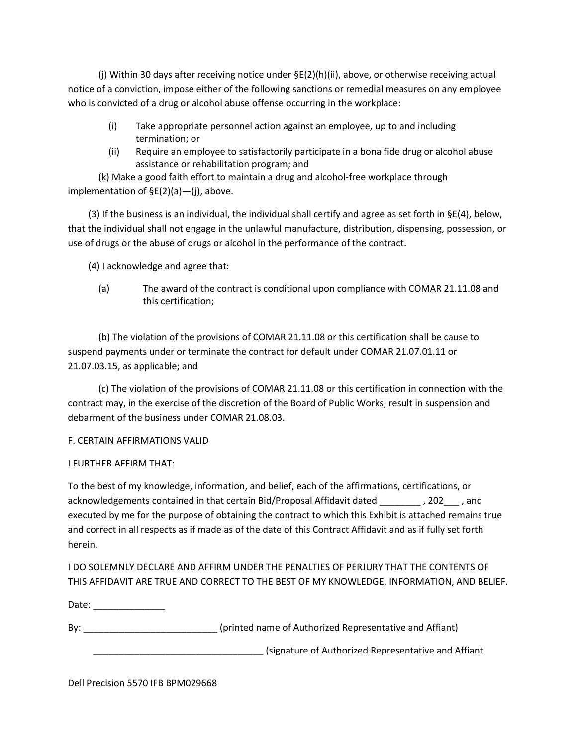(j) Within 30 days after receiving notice under §E(2)(h)(ii), above, or otherwise receiving actual notice of a conviction, impose either of the following sanctions or remedial measures on any employee who is convicted of a drug or alcohol abuse offense occurring in the workplace:

- (i) Take appropriate personnel action against an employee, up to and including termination; or
- (ii) Require an employee to satisfactorily participate in a bona fide drug or alcohol abuse assistance or rehabilitation program; and

(k) Make a good faith effort to maintain a drug and alcohol-free workplace through implementation of §E(2)(a)—(j), above.

(3) If the business is an individual, the individual shall certify and agree as set forth in  $\S E(4)$ , below, that the individual shall not engage in the unlawful manufacture, distribution, dispensing, possession, or use of drugs or the abuse of drugs or alcohol in the performance of the contract.

(4) I acknowledge and agree that:

(a) The award of the contract is conditional upon compliance with COMAR 21.11.08 and this certification;

(b) The violation of the provisions of COMAR 21.11.08 or this certification shall be cause to suspend payments under or terminate the contract for default under COMAR 21.07.01.11 or 21.07.03.15, as applicable; and

(c) The violation of the provisions of COMAR 21.11.08 or this certification in connection with the contract may, in the exercise of the discretion of the Board of Public Works, result in suspension and debarment of the business under COMAR 21.08.03.

## F. CERTAIN AFFIRMATIONS VALID

## I FURTHER AFFIRM THAT:

To the best of my knowledge, information, and belief, each of the affirmations, certifications, or acknowledgements contained in that certain Bid/Proposal Affidavit dated \_\_\_\_\_\_\_\_ , 202\_\_\_ , and executed by me for the purpose of obtaining the contract to which this Exhibit is attached remains true and correct in all respects as if made as of the date of this Contract Affidavit and as if fully set forth herein.

I DO SOLEMNLY DECLARE AND AFFIRM UNDER THE PENALTIES OF PERJURY THAT THE CONTENTS OF THIS AFFIDAVIT ARE TRUE AND CORRECT TO THE BEST OF MY KNOWLEDGE, INFORMATION, AND BELIEF.

Date: \_\_\_\_\_\_\_\_\_\_\_\_\_\_

By: example and the state of authorized Representative and Affiant) and Affiant and Affiant and Affiant and Affiant and Affiant and Affiant and Affiant and Affiant and Affiant and Affiant and Affiant and Affiant and Affian

\_\_\_\_\_\_\_\_\_\_\_\_\_\_\_\_\_\_\_\_\_\_\_\_\_\_\_\_\_\_\_\_\_ (signature of Authorized Representative and Affiant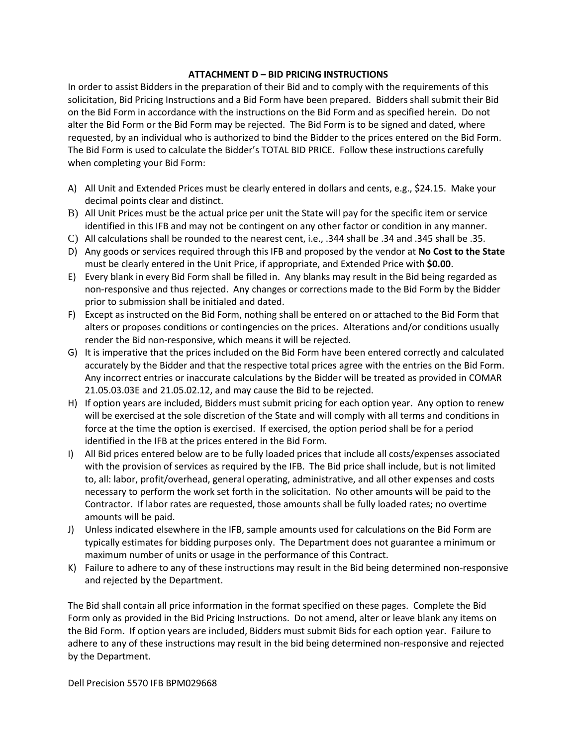### **ATTACHMENT D – BID PRICING INSTRUCTIONS**

In order to assist Bidders in the preparation of their Bid and to comply with the requirements of this solicitation, Bid Pricing Instructions and a Bid Form have been prepared. Bidders shall submit their Bid on the Bid Form in accordance with the instructions on the Bid Form and as specified herein. Do not alter the Bid Form or the Bid Form may be rejected. The Bid Form is to be signed and dated, where requested, by an individual who is authorized to bind the Bidder to the prices entered on the Bid Form. The Bid Form is used to calculate the Bidder's TOTAL BID PRICE. Follow these instructions carefully when completing your Bid Form:

- A) All Unit and Extended Prices must be clearly entered in dollars and cents, e.g., \$24.15. Make your decimal points clear and distinct.
- B) All Unit Prices must be the actual price per unit the State will pay for the specific item or service identified in this IFB and may not be contingent on any other factor or condition in any manner.
- C) All calculations shall be rounded to the nearest cent, i.e., .344 shall be .34 and .345 shall be .35.
- D) Any goods or services required through this IFB and proposed by the vendor at **No Cost to the State** must be clearly entered in the Unit Price, if appropriate, and Extended Price with **\$0.00**.
- E) Every blank in every Bid Form shall be filled in. Any blanks may result in the Bid being regarded as non-responsive and thus rejected. Any changes or corrections made to the Bid Form by the Bidder prior to submission shall be initialed and dated.
- F) Except as instructed on the Bid Form, nothing shall be entered on or attached to the Bid Form that alters or proposes conditions or contingencies on the prices. Alterations and/or conditions usually render the Bid non-responsive, which means it will be rejected.
- G) It is imperative that the prices included on the Bid Form have been entered correctly and calculated accurately by the Bidder and that the respective total prices agree with the entries on the Bid Form. Any incorrect entries or inaccurate calculations by the Bidder will be treated as provided in COMAR 21.05.03.03E and 21.05.02.12, and may cause the Bid to be rejected.
- H) If option years are included, Bidders must submit pricing for each option year. Any option to renew will be exercised at the sole discretion of the State and will comply with all terms and conditions in force at the time the option is exercised. If exercised, the option period shall be for a period identified in the IFB at the prices entered in the Bid Form.
- I) All Bid prices entered below are to be fully loaded prices that include all costs/expenses associated with the provision of services as required by the IFB. The Bid price shall include, but is not limited to, all: labor, profit/overhead, general operating, administrative, and all other expenses and costs necessary to perform the work set forth in the solicitation. No other amounts will be paid to the Contractor. If labor rates are requested, those amounts shall be fully loaded rates; no overtime amounts will be paid.
- J) Unless indicated elsewhere in the IFB, sample amounts used for calculations on the Bid Form are typically estimates for bidding purposes only. The Department does not guarantee a minimum or maximum number of units or usage in the performance of this Contract.
- K) Failure to adhere to any of these instructions may result in the Bid being determined non-responsive and rejected by the Department.

The Bid shall contain all price information in the format specified on these pages. Complete the Bid Form only as provided in the Bid Pricing Instructions. Do not amend, alter or leave blank any items on the Bid Form. If option years are included, Bidders must submit Bids for each option year. Failure to adhere to any of these instructions may result in the bid being determined non-responsive and rejected by the Department.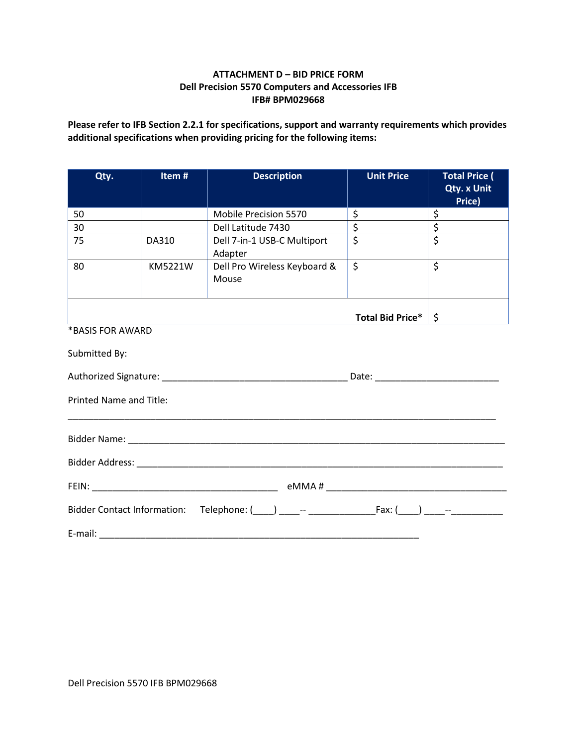## **ATTACHMENT D – BID PRICE FORM Dell Precision 5570 Computers and Accessories IFB IFB# BPM029668**

<span id="page-43-0"></span>**Please refer to IFB Section 2.2.1 for specifications, support and warranty requirements which provides additional specifications when providing pricing for the following items:**

| Qty.                                                         | Item#   | <b>Description</b>                     | <b>Unit Price</b>               | <b>Total Price (</b><br><b>Qty. x Unit</b><br>Price) |
|--------------------------------------------------------------|---------|----------------------------------------|---------------------------------|------------------------------------------------------|
| 50                                                           |         | Mobile Precision 5570                  | \$                              | \$                                                   |
| 30                                                           |         | Dell Latitude 7430                     | $\overline{\boldsymbol{\zeta}}$ | $\overline{\xi}$                                     |
| 75                                                           | DA310   | Dell 7-in-1 USB-C Multiport<br>Adapter | $\overline{\xi}$                | $\overline{\xi}$                                     |
| 80                                                           | KM5221W | Dell Pro Wireless Keyboard &<br>Mouse  | \$                              | $\overline{\mathsf{S}}$                              |
|                                                              |         |                                        | <b>Total Bid Price*</b>         | \$                                                   |
| *BASIS FOR AWARD<br>Submitted By:<br>Printed Name and Title: |         |                                        |                                 |                                                      |
|                                                              |         |                                        |                                 |                                                      |
|                                                              |         |                                        |                                 |                                                      |
|                                                              |         |                                        |                                 |                                                      |
|                                                              |         |                                        |                                 |                                                      |
|                                                              |         |                                        |                                 |                                                      |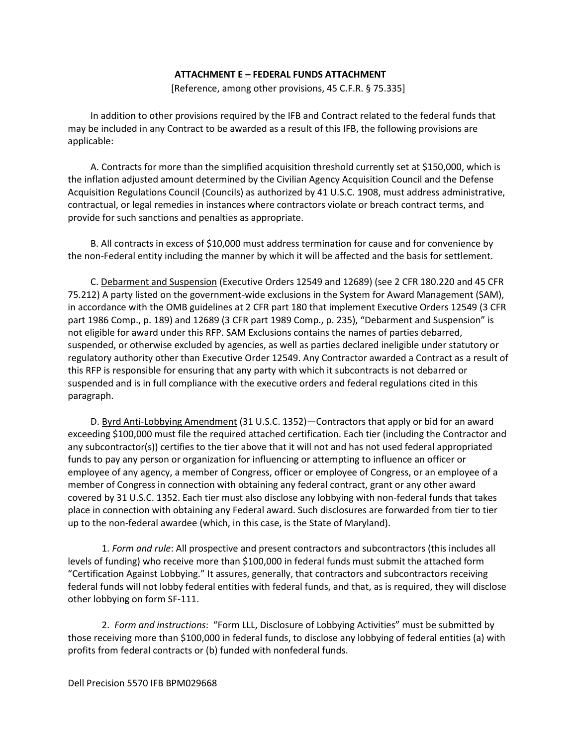#### **ATTACHMENT E – FEDERAL FUNDS ATTACHMENT**

[Reference, among other provisions, 45 C.F.R. § 75.335]

<span id="page-44-0"></span>In addition to other provisions required by the IFB and Contract related to the federal funds that may be included in any Contract to be awarded as a result of this IFB, the following provisions are applicable:

A. Contracts for more than the simplified acquisition threshold currently set at \$150,000, which is the inflation adjusted amount determined by the Civilian Agency Acquisition Council and the Defense Acquisition Regulations Council (Councils) as authorized by 41 U.S.C. 1908, must address administrative, contractual, or legal remedies in instances where contractors violate or breach contract terms, and provide for such sanctions and penalties as appropriate.

B. All contracts in excess of \$10,000 must address termination for cause and for convenience by the non-Federal entity including the manner by which it will be affected and the basis for settlement.

C. Debarment and Suspension (Executive Orders 12549 and 12689) (see 2 CFR 180.220 and 45 CFR 75.212) A party listed on the government-wide exclusions in the System for Award Management (SAM), in accordance with the OMB guidelines at 2 CFR part 180 that implement Executive Orders 12549 (3 CFR part 1986 Comp., p. 189) and 12689 (3 CFR part 1989 Comp., p. 235), "Debarment and Suspension" is not eligible for award under this RFP. SAM Exclusions contains the names of parties debarred, suspended, or otherwise excluded by agencies, as well as parties declared ineligible under statutory or regulatory authority other than Executive Order 12549. Any Contractor awarded a Contract as a result of this RFP is responsible for ensuring that any party with which it subcontracts is not debarred or suspended and is in full compliance with the executive orders and federal regulations cited in this paragraph.

D. Byrd Anti-Lobbying Amendment (31 U.S.C. 1352)—Contractors that apply or bid for an award exceeding \$100,000 must file the required attached certification. Each tier (including the Contractor and any subcontractor(s)) certifies to the tier above that it will not and has not used federal appropriated funds to pay any person or organization for influencing or attempting to influence an officer or employee of any agency, a member of Congress, officer or employee of Congress, or an employee of a member of Congress in connection with obtaining any federal contract, grant or any other award covered by 31 U.S.C. 1352. Each tier must also disclose any lobbying with non-federal funds that takes place in connection with obtaining any Federal award. Such disclosures are forwarded from tier to tier up to the non-federal awardee (which, in this case, is the State of Maryland).

1. *Form and rule*: All prospective and present contractors and subcontractors (this includes all levels of funding) who receive more than \$100,000 in federal funds must submit the attached form "Certification Against Lobbying." It assures, generally, that contractors and subcontractors receiving federal funds will not lobby federal entities with federal funds, and that, as is required, they will disclose other lobbying on form SF-111.

2. *Form and instructions*: "Form LLL, Disclosure of Lobbying Activities" must be submitted by those receiving more than \$100,000 in federal funds, to disclose any lobbying of federal entities (a) with profits from federal contracts or (b) funded with nonfederal funds.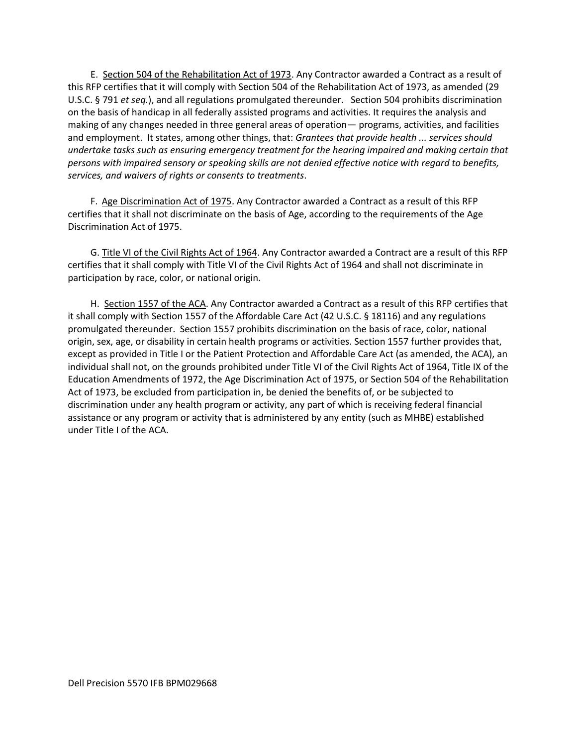E. Section 504 of the Rehabilitation Act of 1973. Any Contractor awarded a Contract as a result of this RFP certifies that it will comply with Section 504 of the Rehabilitation Act of 1973, as amended (29 U.S.C. § 791 *et seq.*), and all regulations promulgated thereunder. Section 504 prohibits discrimination on the basis of handicap in all federally assisted programs and activities. It requires the analysis and making of any changes needed in three general areas of operation— programs, activities, and facilities and employment. It states, among other things, that: *Grantees that provide health ... services should undertake tasks such as ensuring emergency treatment for the hearing impaired and making certain that persons with impaired sensory or speaking skills are not denied effective notice with regard to benefits, services, and waivers of rights or consents to treatments*.

F. Age Discrimination Act of 1975. Any Contractor awarded a Contract as a result of this RFP certifies that it shall not discriminate on the basis of Age, according to the requirements of the Age Discrimination Act of 1975.

G. Title VI of the Civil Rights Act of 1964. Any Contractor awarded a Contract are a result of this RFP certifies that it shall comply with Title VI of the Civil Rights Act of 1964 and shall not discriminate in participation by race, color, or national origin.

H. Section 1557 of the ACA. Any Contractor awarded a Contract as a result of this RFP certifies that it shall comply with Section 1557 of the Affordable Care Act (42 U.S.C. § 18116) and any regulations promulgated thereunder. Section 1557 prohibits discrimination on the basis of race, color, national origin, sex, age, or disability in certain health programs or activities. Section 1557 further provides that, except as provided in Title I or the Patient Protection and Affordable Care Act (as amended, the ACA), an individual shall not, on the grounds prohibited under Title VI of the Civil Rights Act of 1964, Title IX of the Education Amendments of 1972, the Age Discrimination Act of 1975, or Section 504 of the Rehabilitation Act of 1973, be excluded from participation in, be denied the benefits of, or be subjected to discrimination under any health program or activity, any part of which is receiving federal financial assistance or any program or activity that is administered by any entity (such as MHBE) established under Title I of the ACA.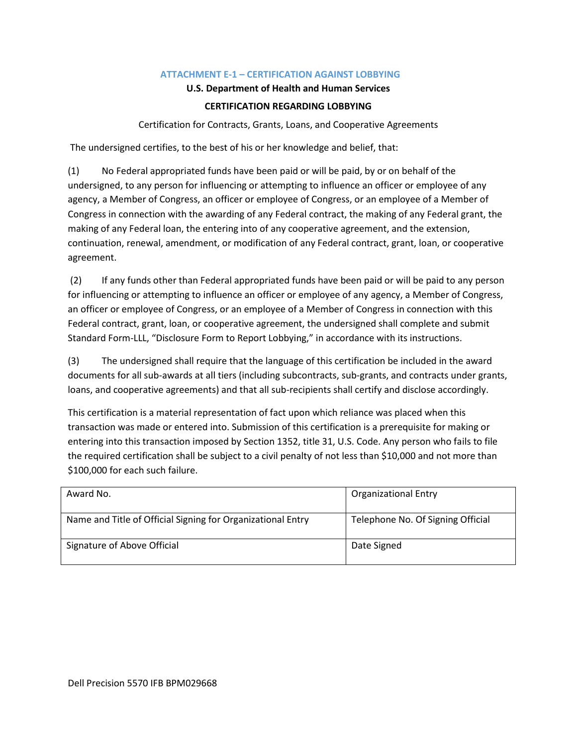## **ATTACHMENT E-1 – CERTIFICATION AGAINST LOBBYING**

### **U.S. Department of Health and Human Services**

## **CERTIFICATION REGARDING LOBBYING**

Certification for Contracts, Grants, Loans, and Cooperative Agreements

<span id="page-46-0"></span>The undersigned certifies, to the best of his or her knowledge and belief, that:

(1) No Federal appropriated funds have been paid or will be paid, by or on behalf of the undersigned, to any person for influencing or attempting to influence an officer or employee of any agency, a Member of Congress, an officer or employee of Congress, or an employee of a Member of Congress in connection with the awarding of any Federal contract, the making of any Federal grant, the making of any Federal loan, the entering into of any cooperative agreement, and the extension, continuation, renewal, amendment, or modification of any Federal contract, grant, loan, or cooperative agreement.

(2) If any funds other than Federal appropriated funds have been paid or will be paid to any person for influencing or attempting to influence an officer or employee of any agency, a Member of Congress, an officer or employee of Congress, or an employee of a Member of Congress in connection with this Federal contract, grant, loan, or cooperative agreement, the undersigned shall complete and submit Standard Form-LLL, "Disclosure Form to Report Lobbying," in accordance with its instructions.

(3) The undersigned shall require that the language of this certification be included in the award documents for all sub-awards at all tiers (including subcontracts, sub-grants, and contracts under grants, loans, and cooperative agreements) and that all sub-recipients shall certify and disclose accordingly.

This certification is a material representation of fact upon which reliance was placed when this transaction was made or entered into. Submission of this certification is a prerequisite for making or entering into this transaction imposed by Section 1352, title 31, U.S. Code. Any person who fails to file the required certification shall be subject to a civil penalty of not less than \$10,000 and not more than \$100,000 for each such failure.

| Award No.                                                   | <b>Organizational Entry</b>       |
|-------------------------------------------------------------|-----------------------------------|
| Name and Title of Official Signing for Organizational Entry | Telephone No. Of Signing Official |
| Signature of Above Official                                 | Date Signed                       |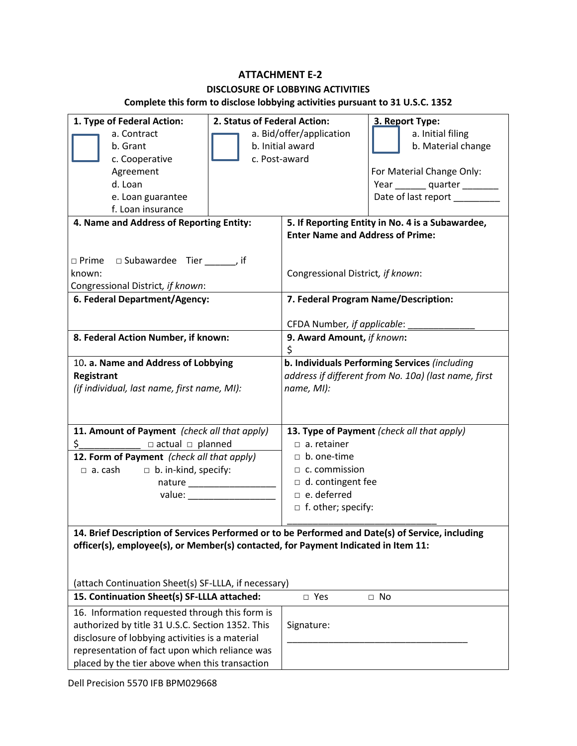# **ATTACHMENT E-2**

### **DISCLOSURE OF LOBBYING ACTIVITIES**

|  |  | Complete this form to disclose lobbying activities pursuant to 31 U.S.C. 1352 |  |
|--|--|-------------------------------------------------------------------------------|--|
|--|--|-------------------------------------------------------------------------------|--|

<span id="page-47-0"></span>

| 1. Type of Federal Action:                                                                                      | 2. Status of Federal Action:      |                                                      | 3. Report Type:                                  |  |
|-----------------------------------------------------------------------------------------------------------------|-----------------------------------|------------------------------------------------------|--------------------------------------------------|--|
| a. Contract                                                                                                     |                                   | a. Bid/offer/application                             | a. Initial filing                                |  |
| b. Grant                                                                                                        | b. Initial award                  |                                                      | b. Material change                               |  |
| c. Cooperative                                                                                                  | c. Post-award                     |                                                      |                                                  |  |
| Agreement                                                                                                       |                                   |                                                      | For Material Change Only:                        |  |
| d. Loan                                                                                                         |                                   |                                                      | Year quarter                                     |  |
| e. Loan guarantee                                                                                               |                                   |                                                      | Date of last report _________                    |  |
| f. Loan insurance                                                                                               |                                   |                                                      |                                                  |  |
| 4. Name and Address of Reporting Entity:                                                                        |                                   |                                                      | 5. If Reporting Entity in No. 4 is a Subawardee, |  |
|                                                                                                                 |                                   | <b>Enter Name and Address of Prime:</b>              |                                                  |  |
|                                                                                                                 |                                   |                                                      |                                                  |  |
| $\Box$ Prime $\Box$ Subawardee Tier _______, if                                                                 |                                   |                                                      |                                                  |  |
| known:                                                                                                          |                                   | Congressional District, if known:                    |                                                  |  |
|                                                                                                                 | Congressional District, if known: |                                                      |                                                  |  |
| 6. Federal Department/Agency:                                                                                   |                                   |                                                      | 7. Federal Program Name/Description:             |  |
|                                                                                                                 |                                   |                                                      |                                                  |  |
|                                                                                                                 |                                   | CFDA Number, if applicable:                          |                                                  |  |
| 8. Federal Action Number, if known:                                                                             |                                   | 9. Award Amount, if known:                           |                                                  |  |
|                                                                                                                 |                                   | \$                                                   |                                                  |  |
| 10. a. Name and Address of Lobbying                                                                             |                                   | b. Individuals Performing Services (including        |                                                  |  |
| Registrant                                                                                                      |                                   | address if different from No. 10a) (last name, first |                                                  |  |
| (if individual, last name, first name, MI):                                                                     |                                   | name, MI):                                           |                                                  |  |
|                                                                                                                 |                                   |                                                      |                                                  |  |
|                                                                                                                 |                                   |                                                      |                                                  |  |
| 11. Amount of Payment (check all that apply)                                                                    |                                   |                                                      | 13. Type of Payment (check all that apply)       |  |
| \$_<br>$\Box$ actual $\Box$ planned                                                                             |                                   | $\Box$ a. retainer                                   |                                                  |  |
| 12. Form of Payment (check all that apply)                                                                      |                                   | $\Box$ b. one-time                                   |                                                  |  |
| $\Box$ b. in-kind, specify:<br>$\Box$ a. cash                                                                   |                                   | $\Box$ c. commission                                 |                                                  |  |
| nature                                                                                                          |                                   | $\Box$ d. contingent fee                             |                                                  |  |
| value: and the state of the state of the state of the state of the state of the state of the state of the state |                                   | $\Box$ e. deferred                                   |                                                  |  |
|                                                                                                                 |                                   | $\Box$ f. other; specify:                            |                                                  |  |
|                                                                                                                 |                                   |                                                      |                                                  |  |
| 14. Brief Description of Services Performed or to be Performed and Date(s) of Service, including                |                                   |                                                      |                                                  |  |
| officer(s), employee(s), or Member(s) contacted, for Payment Indicated in Item 11:                              |                                   |                                                      |                                                  |  |
|                                                                                                                 |                                   |                                                      |                                                  |  |
|                                                                                                                 |                                   |                                                      |                                                  |  |
| (attach Continuation Sheet(s) SF-LLLA, if necessary)                                                            |                                   |                                                      |                                                  |  |
| 15. Continuation Sheet(s) SF-LLLA attached:                                                                     |                                   | □ Yes                                                | $\Box$ No                                        |  |
| 16. Information requested through this form is                                                                  |                                   |                                                      |                                                  |  |
| authorized by title 31 U.S.C. Section 1352. This                                                                |                                   | Signature:                                           |                                                  |  |
| disclosure of lobbying activities is a material                                                                 |                                   |                                                      |                                                  |  |
| representation of fact upon which reliance was                                                                  |                                   |                                                      |                                                  |  |
| placed by the tier above when this transaction                                                                  |                                   |                                                      |                                                  |  |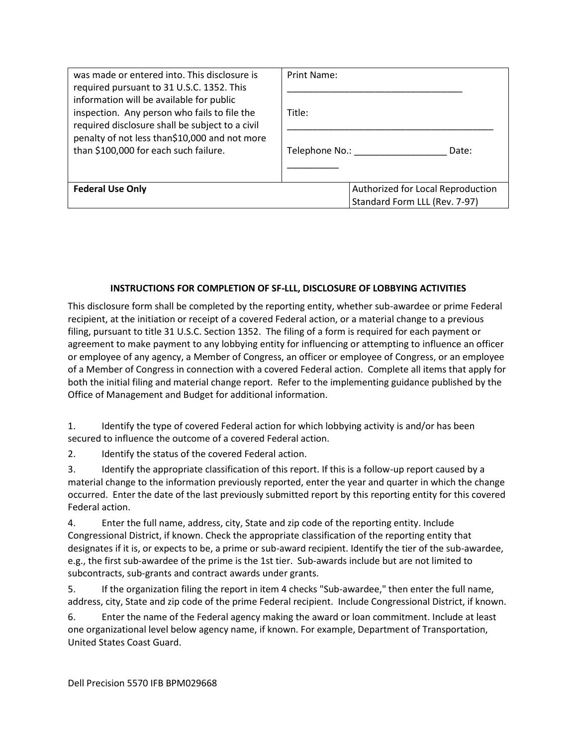| was made or entered into. This disclosure is<br>required pursuant to 31 U.S.C. 1352. This<br>information will be available for public<br>inspection. Any person who fails to file the<br>required disclosure shall be subject to a civil<br>penalty of not less than\$10,000 and not more<br>than \$100,000 for each such failure. | Print Name:<br>Title:<br>Telephone No.:<br>Date:                   |  |
|------------------------------------------------------------------------------------------------------------------------------------------------------------------------------------------------------------------------------------------------------------------------------------------------------------------------------------|--------------------------------------------------------------------|--|
|                                                                                                                                                                                                                                                                                                                                    |                                                                    |  |
| <b>Federal Use Only</b>                                                                                                                                                                                                                                                                                                            | Authorized for Local Reproduction<br>Standard Form LLL (Rev. 7-97) |  |

## **INSTRUCTIONS FOR COMPLETION OF SF-LLL, DISCLOSURE OF LOBBYING ACTIVITIES**

This disclosure form shall be completed by the reporting entity, whether sub-awardee or prime Federal recipient, at the initiation or receipt of a covered Federal action, or a material change to a previous filing, pursuant to title 31 U.S.C. Section 1352. The filing of a form is required for each payment or agreement to make payment to any lobbying entity for influencing or attempting to influence an officer or employee of any agency, a Member of Congress, an officer or employee of Congress, or an employee of a Member of Congress in connection with a covered Federal action. Complete all items that apply for both the initial filing and material change report. Refer to the implementing guidance published by the Office of Management and Budget for additional information.

1. Identify the type of covered Federal action for which lobbying activity is and/or has been secured to influence the outcome of a covered Federal action.

2. Identify the status of the covered Federal action.

3. Identify the appropriate classification of this report. If this is a follow-up report caused by a material change to the information previously reported, enter the year and quarter in which the change occurred. Enter the date of the last previously submitted report by this reporting entity for this covered Federal action.

4. Enter the full name, address, city, State and zip code of the reporting entity. Include Congressional District, if known. Check the appropriate classification of the reporting entity that designates if it is, or expects to be, a prime or sub-award recipient. Identify the tier of the sub-awardee, e.g., the first sub-awardee of the prime is the 1st tier. Sub-awards include but are not limited to subcontracts, sub-grants and contract awards under grants.

5. If the organization filing the report in item 4 checks "Sub-awardee," then enter the full name, address, city, State and zip code of the prime Federal recipient. Include Congressional District, if known.

6. Enter the name of the Federal agency making the award or loan commitment. Include at least one organizational level below agency name, if known. For example, Department of Transportation, United States Coast Guard.